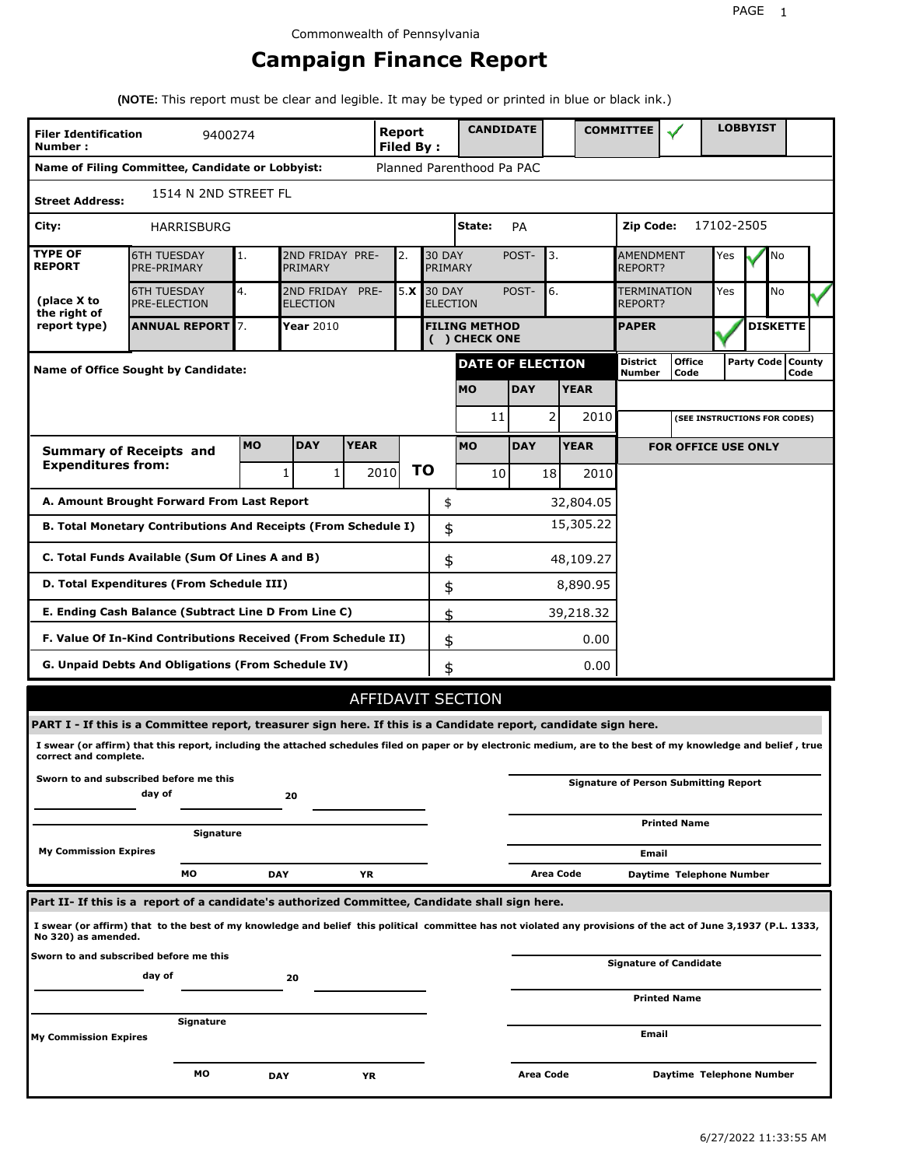## **Campaign Finance Report**

**(NOTE:** This report must be clear and legible. It may be typed or printed in blue or black ink.)

| Report<br><b>Filer Identification</b><br>9400274<br>Number: |                                                                                                                                                                 |            |                            |             |      | <b>Filed By:</b> |                                      | <b>CANDIDATE</b>          |            |           |                 | <b>COMMITTEE</b>                   |                                              |            | <b>LOBBYIST</b> |                             |  |
|-------------------------------------------------------------|-----------------------------------------------------------------------------------------------------------------------------------------------------------------|------------|----------------------------|-------------|------|------------------|--------------------------------------|---------------------------|------------|-----------|-----------------|------------------------------------|----------------------------------------------|------------|-----------------|-----------------------------|--|
|                                                             | Name of Filing Committee, Candidate or Lobbyist:                                                                                                                |            |                            |             |      |                  |                                      | Planned Parenthood Pa PAC |            |           |                 |                                    |                                              |            |                 |                             |  |
| <b>Street Address:</b>                                      | 1514 N 2ND STREET FL                                                                                                                                            |            |                            |             |      |                  |                                      |                           |            |           |                 |                                    |                                              |            |                 |                             |  |
| City:                                                       | <b>HARRISBURG</b>                                                                                                                                               |            |                            |             |      |                  |                                      | State:                    | PA         |           |                 | Zip Code:                          |                                              | 17102-2505 |                 |                             |  |
| <b>TYPE OF</b><br><b>REPORT</b>                             | <b>6TH TUESDAY</b><br>PRE-PRIMARY                                                                                                                               | 1.         | 2ND FRIDAY PRE-<br>PRIMARY |             | 2.   |                  | <b>30 DAY</b><br>PRIMARY             |                           | POST-      | 3.        |                 | <b>AMENDMENT</b><br><b>REPORT?</b> | Yes                                          |            | No              |                             |  |
| (place X to<br>the right of                                 | 4.<br>5.X<br><b>30 DAY</b><br>6.<br><b>6TH TUESDAY</b><br>2ND FRIDAY<br>PRE-<br>POST-<br>PRE-ELECTION<br><b>ELECTION</b><br><b>ELECTION</b>                     |            |                            |             |      |                  | <b>TERMINATION</b><br>Yes<br>REPORT? |                           |            |           | No              |                                    |                                              |            |                 |                             |  |
| report type)                                                | <b>ANNUAL REPORT</b> 7.<br>Year 2010<br><b>FILING METHOD</b><br>( ) CHECK ONE                                                                                   |            |                            |             |      |                  | <b>PAPER</b>                         |                           |            |           | <b>DISKETTE</b> |                                    |                                              |            |                 |                             |  |
|                                                             | <b>Name of Office Sought by Candidate:</b>                                                                                                                      |            |                            |             |      |                  |                                      | <b>DATE OF ELECTION</b>   |            |           |                 | <b>District</b><br>Number          | <b>Office</b><br>Code                        |            |                 | Party Code   County<br>Code |  |
|                                                             |                                                                                                                                                                 |            |                            |             |      |                  |                                      | <b>MO</b>                 | <b>DAY</b> |           | <b>YEAR</b>     |                                    |                                              |            |                 |                             |  |
|                                                             |                                                                                                                                                                 |            |                            |             |      |                  |                                      | 11                        |            | 2         | 2010            |                                    | (SEE INSTRUCTIONS FOR CODES)                 |            |                 |                             |  |
|                                                             | <b>Summary of Receipts and</b>                                                                                                                                  | <b>MO</b>  | <b>DAY</b>                 | <b>YEAR</b> |      |                  |                                      | <b>MO</b>                 | <b>DAY</b> |           | <b>YEAR</b>     |                                    | <b>FOR OFFICE USE ONLY</b>                   |            |                 |                             |  |
| <b>Expenditures from:</b>                                   |                                                                                                                                                                 |            | 1<br>1                     |             | 2010 | ΤO               |                                      | 10                        |            | 18        | 2010            |                                    |                                              |            |                 |                             |  |
|                                                             | A. Amount Brought Forward From Last Report                                                                                                                      |            |                            |             |      |                  | \$                                   |                           |            |           | 32,804.05       |                                    |                                              |            |                 |                             |  |
|                                                             | B. Total Monetary Contributions And Receipts (From Schedule I)                                                                                                  |            |                            |             |      |                  | \$                                   |                           |            |           | 15,305.22       |                                    |                                              |            |                 |                             |  |
|                                                             | C. Total Funds Available (Sum Of Lines A and B)                                                                                                                 |            |                            |             |      |                  | \$                                   |                           |            |           | 48,109.27       |                                    |                                              |            |                 |                             |  |
|                                                             | D. Total Expenditures (From Schedule III)                                                                                                                       |            |                            |             |      |                  | \$                                   |                           |            |           | 8,890.95        |                                    |                                              |            |                 |                             |  |
|                                                             | E. Ending Cash Balance (Subtract Line D From Line C)                                                                                                            |            |                            |             |      |                  | \$                                   |                           |            |           | 39,218.32       |                                    |                                              |            |                 |                             |  |
|                                                             | F. Value Of In-Kind Contributions Received (From Schedule II)                                                                                                   |            |                            |             |      |                  | \$                                   |                           |            |           | 0.00            |                                    |                                              |            |                 |                             |  |
|                                                             | G. Unpaid Debts And Obligations (From Schedule IV)                                                                                                              |            |                            |             |      |                  | \$                                   |                           |            |           | 0.00            |                                    |                                              |            |                 |                             |  |
|                                                             |                                                                                                                                                                 |            |                            |             |      |                  |                                      | <b>AFFIDAVIT SECTION</b>  |            |           |                 |                                    |                                              |            |                 |                             |  |
|                                                             | PART I - If this is a Committee report, treasurer sign here. If this is a Candidate report, candidate sign here.                                                |            |                            |             |      |                  |                                      |                           |            |           |                 |                                    |                                              |            |                 |                             |  |
| correct and complete.                                       | I swear (or affirm) that this report, including the attached schedules filed on paper or by electronic medium, are to the best of my knowledge and belief, true |            |                            |             |      |                  |                                      |                           |            |           |                 |                                    |                                              |            |                 |                             |  |
|                                                             | Sworn to and subscribed before me this<br>day of                                                                                                                |            | 20                         |             |      |                  |                                      |                           |            |           |                 |                                    | <b>Signature of Person Submitting Report</b> |            |                 |                             |  |
|                                                             | Signature                                                                                                                                                       |            |                            |             |      |                  |                                      |                           |            |           |                 |                                    | <b>Printed Name</b>                          |            |                 |                             |  |
| <b>My Commission Expires</b>                                |                                                                                                                                                                 |            |                            |             |      |                  |                                      |                           |            |           |                 | Email                              |                                              |            |                 |                             |  |
|                                                             | МO                                                                                                                                                              | <b>DAY</b> |                            | YR          |      |                  |                                      |                           |            | Area Code |                 |                                    | Daytime Telephone Number                     |            |                 |                             |  |
|                                                             | Part II- If this is a report of a candidate's authorized Committee, Candidate shall sign here.                                                                  |            |                            |             |      |                  |                                      |                           |            |           |                 |                                    |                                              |            |                 |                             |  |
| No 320) as amended.                                         | I swear (or affirm) that to the best of my knowledge and belief this political committee has not violated any provisions of the act of June 3,1937 (P.L. 1333,  |            |                            |             |      |                  |                                      |                           |            |           |                 |                                    |                                              |            |                 |                             |  |
|                                                             | Sworn to and subscribed before me this<br>day of                                                                                                                |            |                            |             |      |                  |                                      |                           |            |           |                 |                                    | Signature of Candidate                       |            |                 |                             |  |
|                                                             |                                                                                                                                                                 |            | 20                         |             |      |                  |                                      |                           |            |           |                 |                                    | <b>Printed Name</b>                          |            |                 |                             |  |
| <b>My Commission Expires</b>                                | Signature                                                                                                                                                       |            |                            |             |      |                  |                                      |                           |            |           |                 | Email                              |                                              |            |                 |                             |  |
|                                                             |                                                                                                                                                                 |            |                            |             |      |                  |                                      |                           |            |           |                 |                                    |                                              |            |                 |                             |  |
|                                                             | мо                                                                                                                                                              | <b>DAY</b> |                            | ΥR          |      |                  |                                      |                           | Area Code  |           |                 |                                    | Daytime Telephone Number                     |            |                 |                             |  |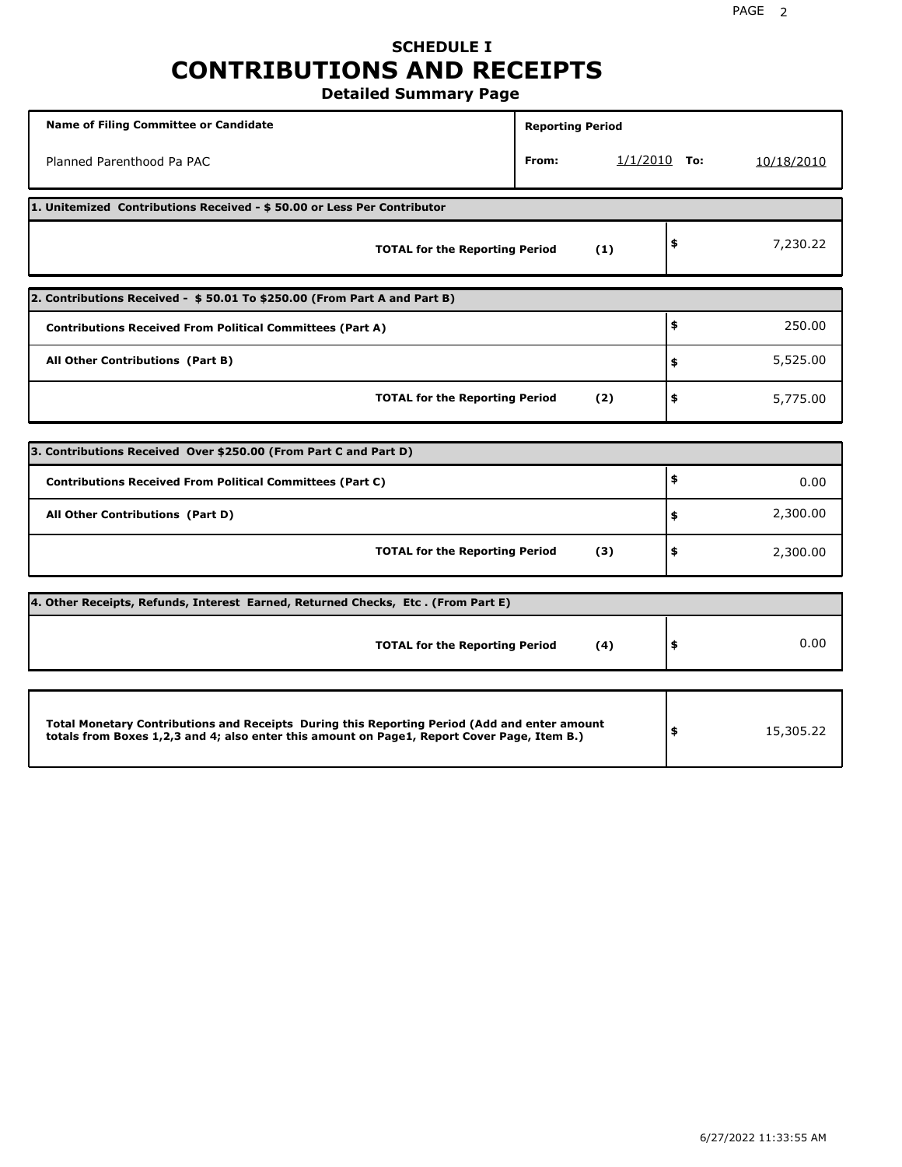### **SCHEDULE I CONTRIBUTIONS AND RECEIPTS Detailed Summary Page**

**Name of Filing Committee or Candidate Reporting Period Reporting Period** Planned Parenthood Pa PAC **From:** 1/1/2010 **To:** 10/18/2010 **1. Unitemized Contributions Received - \$ 50.00 or Less Per Contributor TOTAL for the Reporting Period (1) \$** 7,230.22 **2. Contributions Received - \$ 50.01 To \$250.00 (From Part A and Part B) TOTAL for the Reporting Period (2) Contributions Received From Political Committees (Part A) All Other Contributions (Part B) \$ \$ \$** 250.00 5,525.00 5,775.00 **3. Contributions Received Over \$250.00 (From Part C and Part D) TOTAL for the Reporting Period (3) Contributions Received From Political Committees (Part C) All Other Contributions (Part D) \$ \$ \$** 0.00 2,300.00 2,300.00 **4. Other Receipts, Refunds, Interest Earned, Returned Checks, Etc . (From Part E) TOTAL for the Reporting Period (4) \$** 0.00 **Total Monetary Contributions and Receipts During this Reporting Period (Add and enter amount totals from Boxes 1,2,3 and 4; also enter this amount on Page1, Report Cover Page, Item B.) \$** 15,305.22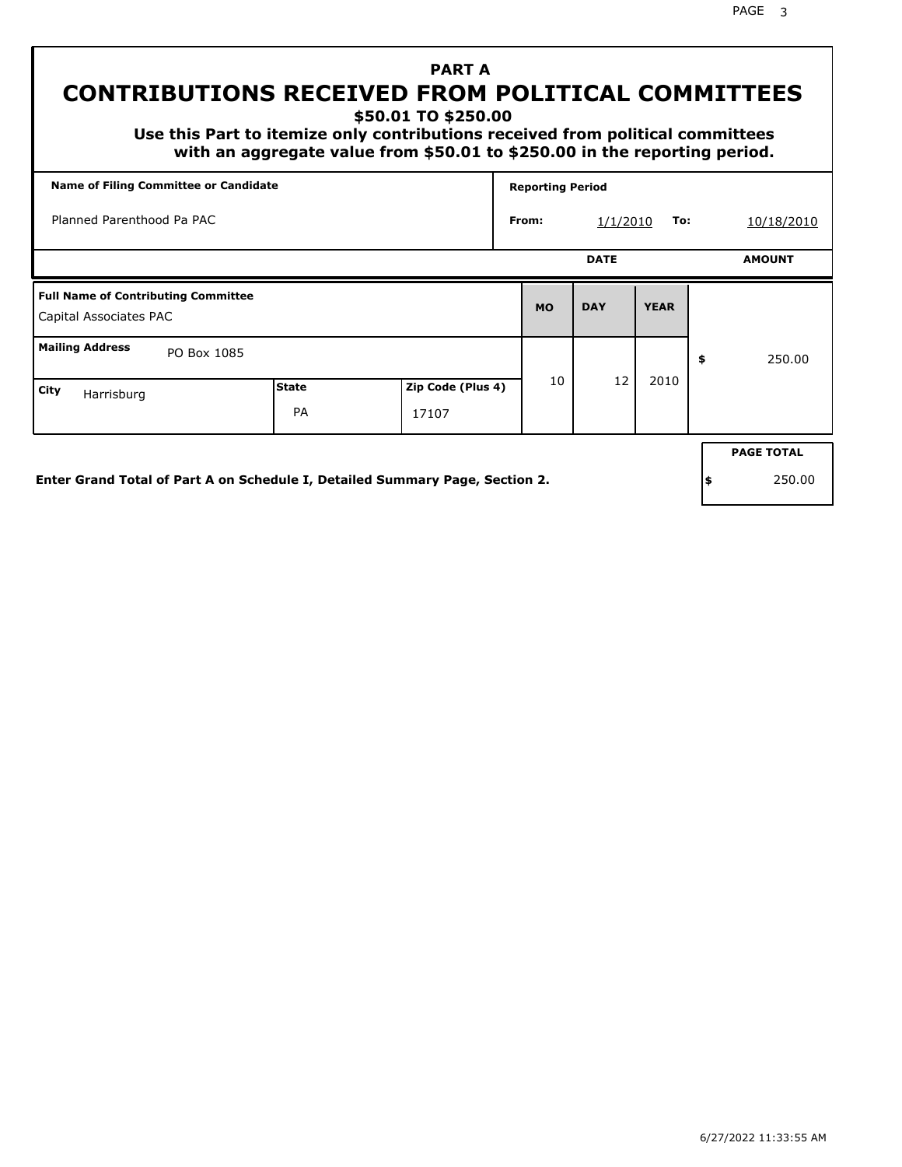## **PART A CONTRIBUTIONS RECEIVED FROM POLITICAL COMMITTEES**

**\$50.01 TO \$250.00**

 **Use this Part to itemize only contributions received from political committees with an aggregate value from \$50.01 to \$250.00 in the reporting period.**

| <b>Name of Filing Committee or Candidate</b>                         |                           |                            |           | <b>Reporting Period</b> |             |    |                   |  |  |
|----------------------------------------------------------------------|---------------------------|----------------------------|-----------|-------------------------|-------------|----|-------------------|--|--|
| Planned Parenthood Pa PAC                                            |                           |                            | From:     | 1/1/2010                | To:         |    | 10/18/2010        |  |  |
|                                                                      |                           |                            |           | <b>DATE</b>             |             |    | <b>AMOUNT</b>     |  |  |
| <b>Full Name of Contributing Committee</b><br>Capital Associates PAC |                           |                            | <b>MO</b> | <b>DAY</b>              | <b>YEAR</b> |    |                   |  |  |
| <b>Mailing Address</b><br>PO Box 1085                                |                           |                            |           |                         |             | \$ | 250.00            |  |  |
| City<br>Harrisburg                                                   | <b>State</b><br><b>PA</b> | Zip Code (Plus 4)<br>17107 | 10        | 12                      | 2010        |    |                   |  |  |
|                                                                      |                           |                            |           |                         |             |    | <b>PAGE TOTAL</b> |  |  |

**Enter Grand Total of Part A on Schedule I, Detailed Summary Page, Section 2.**

**\$** 250.00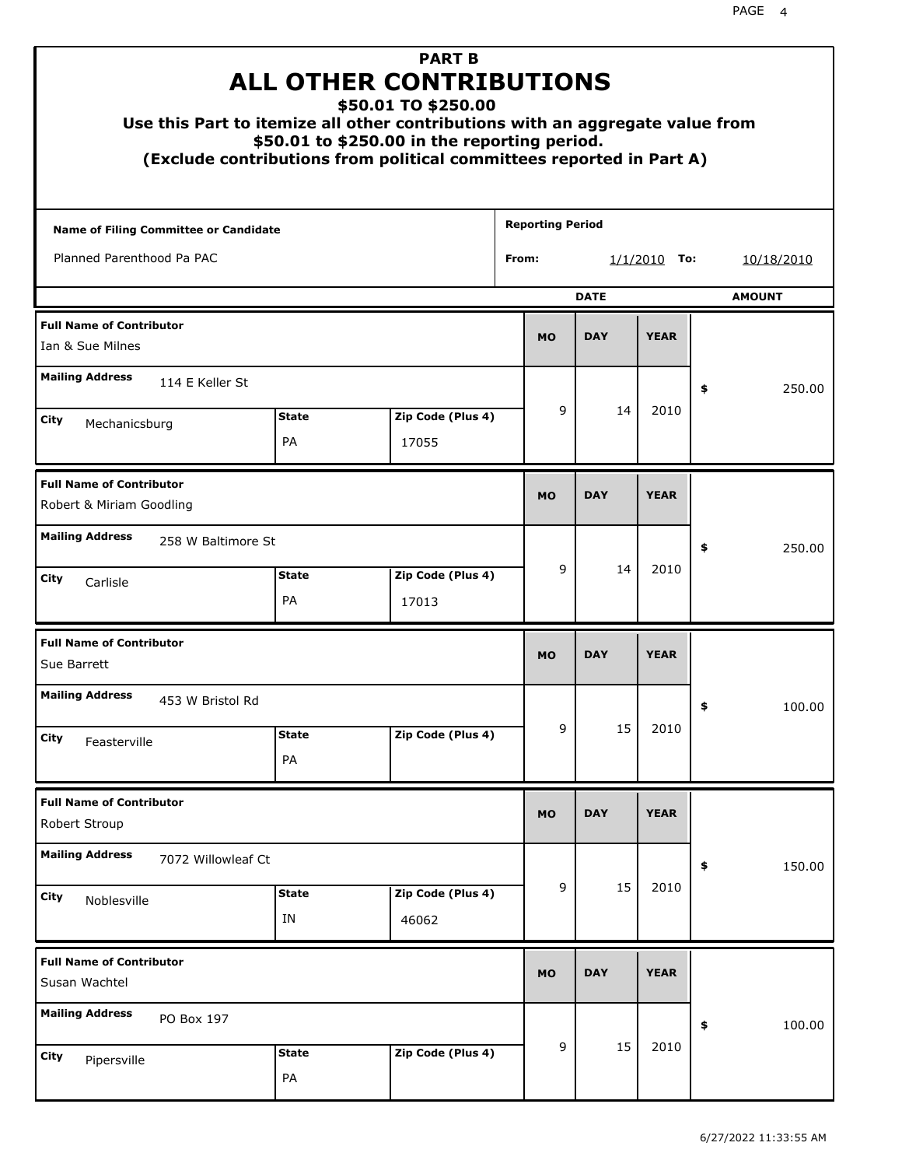|                                                             | Use this Part to itemize all other contributions with an aggregate value from<br>(Exclude contributions from political committees reported in Part A) | <b>ALL OTHER CONTRIBUTIONS</b><br>\$50.01 to \$250.00 in the reporting period. | \$50.01 TO \$250.00 | <b>PART B</b>     |                         |   |            |                |    |            |
|-------------------------------------------------------------|-------------------------------------------------------------------------------------------------------------------------------------------------------|--------------------------------------------------------------------------------|---------------------|-------------------|-------------------------|---|------------|----------------|----|------------|
| Name of Filing Committee or Candidate                       |                                                                                                                                                       |                                                                                |                     |                   | <b>Reporting Period</b> |   |            |                |    |            |
| Planned Parenthood Pa PAC                                   |                                                                                                                                                       |                                                                                |                     |                   | From:                   |   |            | $1/1/2010$ To: |    | 10/18/2010 |
| <b>DATE</b><br><b>AMOUNT</b>                                |                                                                                                                                                       |                                                                                |                     |                   |                         |   |            |                |    |            |
| <b>Full Name of Contributor</b><br>Ian & Sue Milnes         |                                                                                                                                                       |                                                                                |                     |                   | <b>MO</b>               |   | <b>DAY</b> | <b>YEAR</b>    |    |            |
| <b>Mailing Address</b>                                      | 114 E Keller St                                                                                                                                       |                                                                                |                     |                   |                         |   |            |                | \$ | 250.00     |
| City<br>Mechanicsburg                                       |                                                                                                                                                       | <b>State</b>                                                                   |                     | Zip Code (Plus 4) |                         | 9 | 14         | 2010           |    |            |
|                                                             |                                                                                                                                                       | PA                                                                             | 17055               |                   |                         |   |            |                |    |            |
| <b>Full Name of Contributor</b><br>Robert & Miriam Goodling |                                                                                                                                                       |                                                                                |                     |                   | <b>MO</b>               |   | <b>DAY</b> | <b>YEAR</b>    |    |            |
| <b>Mailing Address</b>                                      | 258 W Baltimore St                                                                                                                                    |                                                                                |                     |                   |                         |   |            |                | \$ | 250.00     |
| City<br>Carlisle                                            |                                                                                                                                                       | <b>State</b><br>PA                                                             | 17013               | Zip Code (Plus 4) |                         | 9 | 14         | 2010           |    |            |
| <b>Full Name of Contributor</b><br>Sue Barrett              |                                                                                                                                                       |                                                                                |                     |                   | <b>MO</b>               |   | <b>DAY</b> | <b>YEAR</b>    |    |            |
| <b>Mailing Address</b>                                      | 453 W Bristol Rd                                                                                                                                      |                                                                                |                     |                   |                         |   |            |                | ÷, | 100.00     |
| <b>City</b><br>Feasterville                                 |                                                                                                                                                       | <b>State</b><br>PA                                                             |                     | Zip Code (Plus 4) |                         | 9 | 15         | 2010           |    |            |
| <b>Full Name of Contributor</b><br>Robert Stroup            |                                                                                                                                                       |                                                                                |                     |                   | <b>MO</b>               |   | <b>DAY</b> | <b>YEAR</b>    |    |            |
| <b>Mailing Address</b>                                      | 7072 Willowleaf Ct                                                                                                                                    |                                                                                |                     |                   |                         |   |            |                | \$ | 150.00     |
| City<br>Noblesville                                         |                                                                                                                                                       | <b>State</b><br>IN                                                             | 46062               | Zip Code (Plus 4) |                         | 9 | 15         | 2010           |    |            |
| <b>Full Name of Contributor</b><br>Susan Wachtel            |                                                                                                                                                       |                                                                                |                     |                   | <b>MO</b>               |   | <b>DAY</b> | <b>YEAR</b>    |    |            |
| <b>Mailing Address</b>                                      | PO Box 197                                                                                                                                            |                                                                                |                     |                   |                         |   |            |                | \$ | 100.00     |
| <b>City</b><br>Pipersville                                  |                                                                                                                                                       | <b>State</b><br>PA                                                             |                     | Zip Code (Plus 4) |                         | 9 | 15         | 2010           |    |            |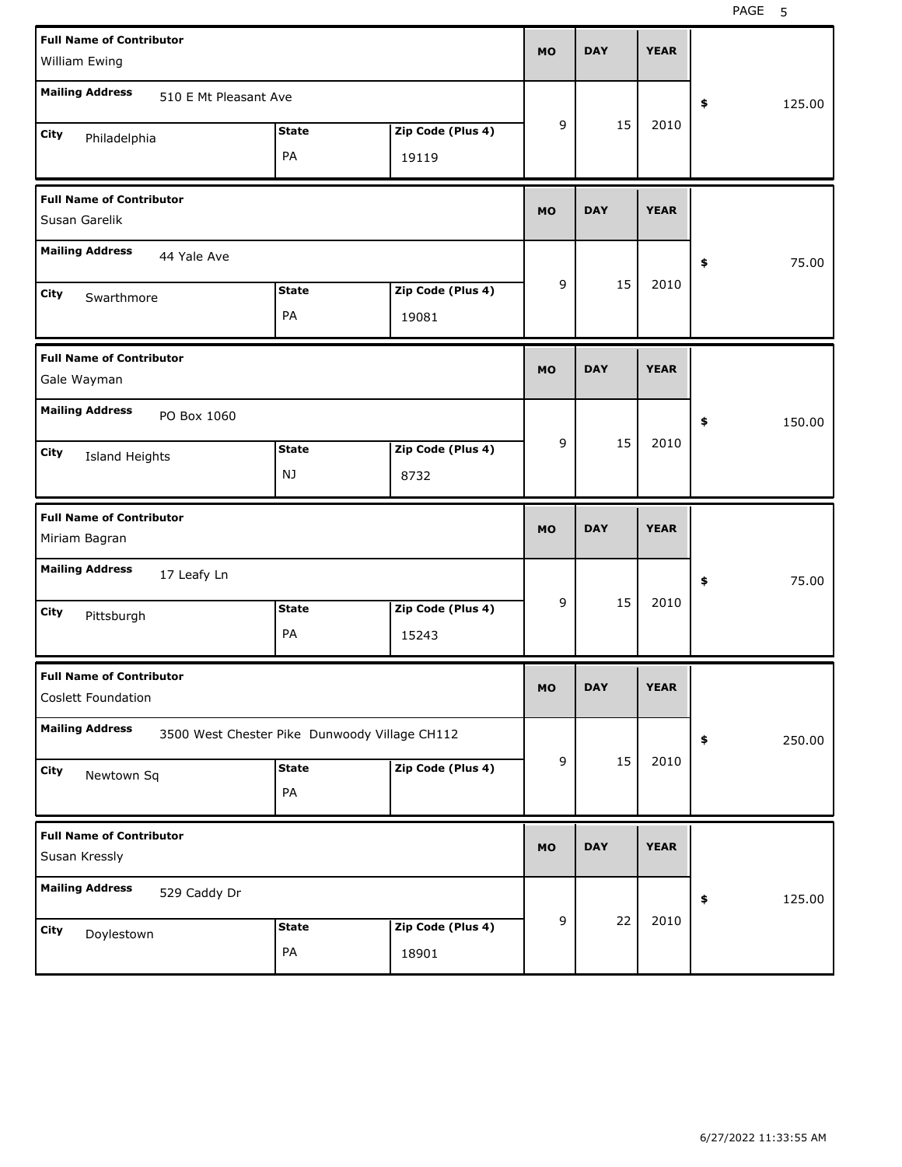PAGE 5

| <b>Full Name of Contributor</b><br>William Ewing      |                                               |                            |           |            |             |              |
|-------------------------------------------------------|-----------------------------------------------|----------------------------|-----------|------------|-------------|--------------|
| <b>Mailing Address</b><br>510 E Mt Pleasant Ave       |                                               |                            |           |            |             | 125.00<br>\$ |
| City<br>Philadelphia                                  | <b>State</b><br>PA                            | Zip Code (Plus 4)<br>19119 | 9         | 15         | 2010        |              |
| <b>Full Name of Contributor</b><br>Susan Garelik      |                                               |                            | <b>MO</b> | <b>DAY</b> | <b>YEAR</b> |              |
| <b>Mailing Address</b><br>44 Yale Ave                 |                                               |                            |           |            |             | 75.00<br>\$  |
| City<br>Swarthmore                                    | <b>State</b><br>PA                            | Zip Code (Plus 4)<br>19081 | 9         | 15         | 2010        |              |
| <b>Full Name of Contributor</b><br>Gale Wayman        |                                               |                            | <b>MO</b> | <b>DAY</b> | <b>YEAR</b> |              |
| <b>Mailing Address</b><br>PO Box 1060                 |                                               |                            |           |            |             | \$<br>150.00 |
| City<br>Island Heights                                | <b>State</b><br>NJ                            | Zip Code (Plus 4)<br>8732  | 9         | 15         | 2010        |              |
|                                                       |                                               |                            |           |            |             |              |
| <b>Full Name of Contributor</b><br>Miriam Bagran      |                                               |                            | <b>MO</b> | <b>DAY</b> | <b>YEAR</b> |              |
| <b>Mailing Address</b><br>17 Leafy Ln                 |                                               |                            |           |            |             | 75.00<br>\$  |
| City<br>Pittsburgh                                    | <b>State</b><br>PA                            | Zip Code (Plus 4)<br>15243 | 9         | 15         | 2010        |              |
| <b>Full Name of Contributor</b><br>Coslett Foundation |                                               |                            | <b>MO</b> | DAY        | <b>YEAR</b> |              |
| <b>Mailing Address</b>                                | 3500 West Chester Pike Dunwoody Village CH112 |                            |           |            |             | 250.00<br>\$ |
| City<br>Newtown Sq                                    | <b>State</b><br>PA                            | Zip Code (Plus 4)          | 9         | 15         | 2010        |              |
| <b>Full Name of Contributor</b><br>Susan Kressly      |                                               |                            | <b>MO</b> | <b>DAY</b> | <b>YEAR</b> |              |
| <b>Mailing Address</b><br>529 Caddy Dr                |                                               |                            | 9         | 22         | 2010        | 125.00<br>\$ |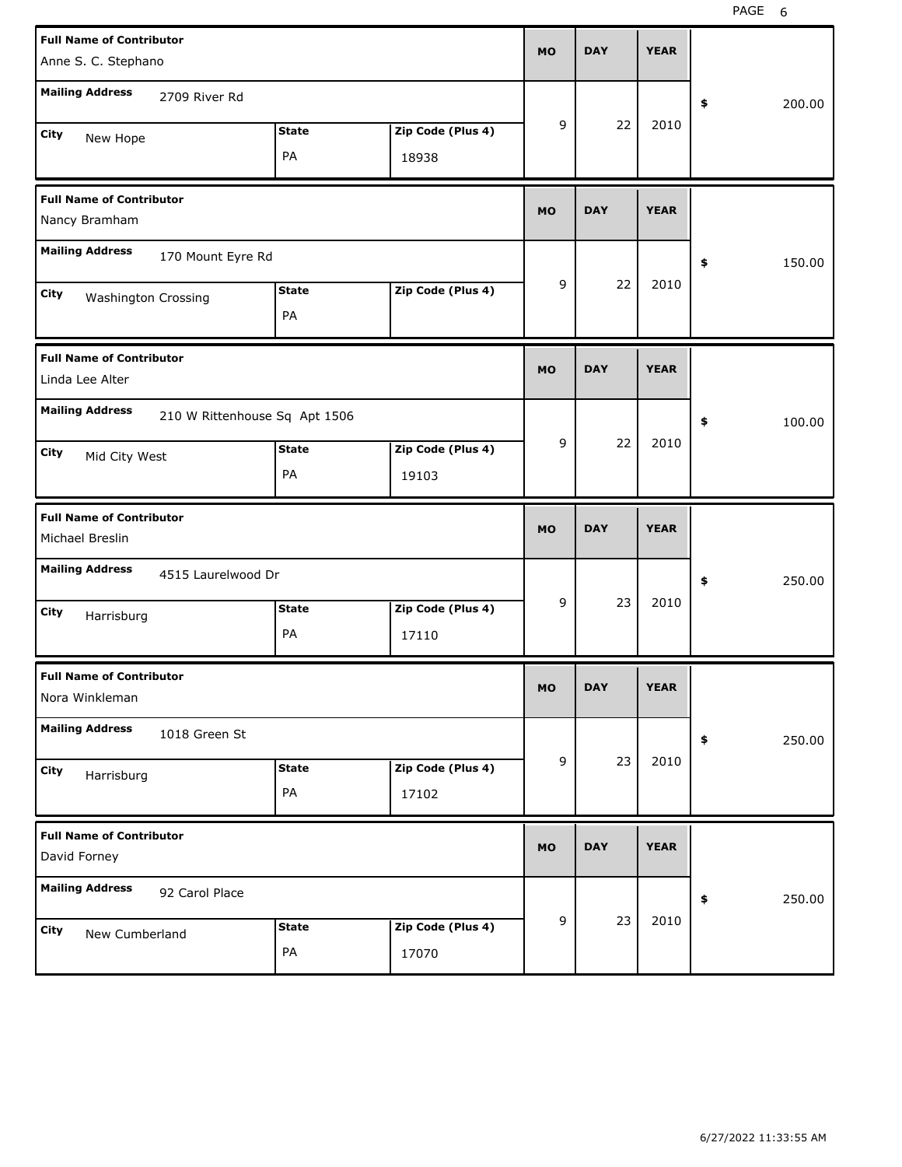| <b>Full Name of Contributor</b>                         |                    |                   | MO        | <b>DAY</b> | <b>YEAR</b> |              |
|---------------------------------------------------------|--------------------|-------------------|-----------|------------|-------------|--------------|
| Anne S. C. Stephano                                     |                    |                   |           |            |             |              |
| <b>Mailing Address</b><br>2709 River Rd                 |                    |                   |           |            |             | \$<br>200.00 |
| City<br>New Hope                                        | <b>State</b>       | Zip Code (Plus 4) | 9         | 22         | 2010        |              |
|                                                         | PA                 | 18938             |           |            |             |              |
| <b>Full Name of Contributor</b><br>Nancy Bramham        |                    |                   | <b>MO</b> | <b>DAY</b> | <b>YEAR</b> |              |
| <b>Mailing Address</b><br>170 Mount Eyre Rd             |                    |                   |           |            |             | \$<br>150.00 |
| City<br>Washington Crossing                             | <b>State</b><br>PA | Zip Code (Plus 4) | 9         | 22         | 2010        |              |
| <b>Full Name of Contributor</b><br>Linda Lee Alter      |                    |                   | <b>MO</b> | <b>DAY</b> | <b>YEAR</b> |              |
| <b>Mailing Address</b><br>210 W Rittenhouse Sq Apt 1506 |                    |                   |           |            |             | \$<br>100.00 |
| City<br>Mid City West                                   | <b>State</b>       | Zip Code (Plus 4) | 9         | 22         | 2010        |              |
|                                                         | PA                 | 19103             |           |            |             |              |
|                                                         |                    |                   |           |            |             |              |
| <b>Full Name of Contributor</b><br>Michael Breslin      |                    |                   | <b>MO</b> | <b>DAY</b> | <b>YEAR</b> |              |
| <b>Mailing Address</b><br>4515 Laurelwood Dr            |                    |                   |           |            |             | \$<br>250.00 |
| City<br>Harrisburg                                      | <b>State</b>       | Zip Code (Plus 4) | 9         | 23         | 2010        |              |
|                                                         | PA                 | 17110             |           |            |             |              |
| <b>Full Name of Contributor</b><br>Nora Winkleman       |                    |                   | MO.       | DAY        | YEAK        |              |
| <b>Mailing Address</b><br>1018 Green St                 |                    |                   |           |            |             | 250.00<br>\$ |
| City                                                    | <b>State</b>       | Zip Code (Plus 4) | 9         | 23         | 2010        |              |
| Harrisburg                                              | PA                 | 17102             |           |            |             |              |
| <b>Full Name of Contributor</b><br>David Forney         |                    |                   | <b>MO</b> | <b>DAY</b> | <b>YEAR</b> |              |
| <b>Mailing Address</b><br>92 Carol Place                |                    |                   |           |            |             | 250.00<br>\$ |
| City<br>New Cumberland                                  | <b>State</b>       | Zip Code (Plus 4) | 9         | 23         | 2010        |              |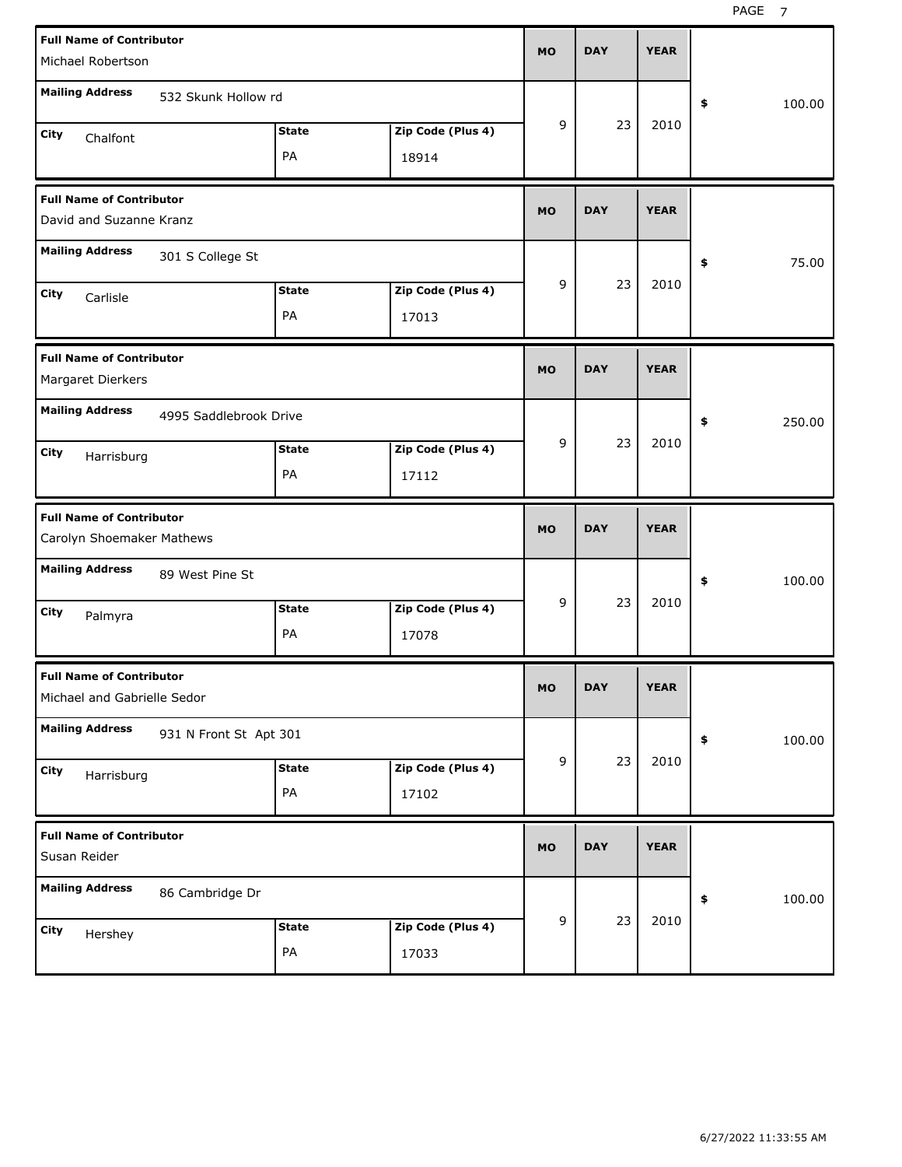| <b>Full Name of Contributor</b><br>Michael Robertson           |                        |                    |                            | <b>MO</b> | <b>DAY</b> | <b>YEAR</b> |              |
|----------------------------------------------------------------|------------------------|--------------------|----------------------------|-----------|------------|-------------|--------------|
| <b>Mailing Address</b>                                         | 532 Skunk Hollow rd    |                    |                            |           |            |             | \$<br>100.00 |
| City<br>Chalfont                                               |                        | <b>State</b><br>PA | Zip Code (Plus 4)<br>18914 | 9         | 23         | 2010        |              |
| <b>Full Name of Contributor</b><br>David and Suzanne Kranz     |                        |                    |                            | <b>MO</b> | <b>DAY</b> | <b>YEAR</b> |              |
| <b>Mailing Address</b>                                         | 301 S College St       |                    |                            |           |            |             | 75.00<br>\$  |
| City<br>Carlisle                                               |                        | <b>State</b><br>PA | Zip Code (Plus 4)<br>17013 | 9         | 23         | 2010        |              |
| <b>Full Name of Contributor</b><br>Margaret Dierkers           |                        |                    |                            | <b>MO</b> | <b>DAY</b> | <b>YEAR</b> |              |
| <b>Mailing Address</b>                                         | 4995 Saddlebrook Drive |                    |                            |           |            |             | 250.00<br>\$ |
| City<br>Harrisburg                                             |                        | <b>State</b><br>PA | Zip Code (Plus 4)<br>17112 | 9         | 23         | 2010        |              |
|                                                                |                        |                    |                            |           |            |             |              |
| <b>Full Name of Contributor</b><br>Carolyn Shoemaker Mathews   |                        |                    |                            | <b>MO</b> | <b>DAY</b> | <b>YEAR</b> |              |
| <b>Mailing Address</b>                                         | 89 West Pine St        |                    |                            |           |            |             | 100.00<br>\$ |
| City<br>Palmyra                                                |                        | <b>State</b><br>PA | Zip Code (Plus 4)<br>17078 | 9         | 23         | 2010        |              |
| <b>Full Name of Contributor</b><br>Michael and Gabrielle Sedor |                        |                    |                            | <b>MO</b> | <b>DAY</b> | <b>YEAR</b> |              |
| <b>Mailing Address</b>                                         | 931 N Front St Apt 301 |                    |                            |           |            |             | 100.00<br>\$ |
| City<br>Harrisburg                                             |                        | <b>State</b><br>PA | Zip Code (Plus 4)<br>17102 | 9         | 23         | 2010        |              |
| <b>Full Name of Contributor</b><br>Susan Reider                |                        |                    |                            | <b>MO</b> | <b>DAY</b> | <b>YEAR</b> |              |
| <b>Mailing Address</b>                                         | 86 Cambridge Dr        |                    |                            | 9         | 23         | 2010        | 100.00<br>\$ |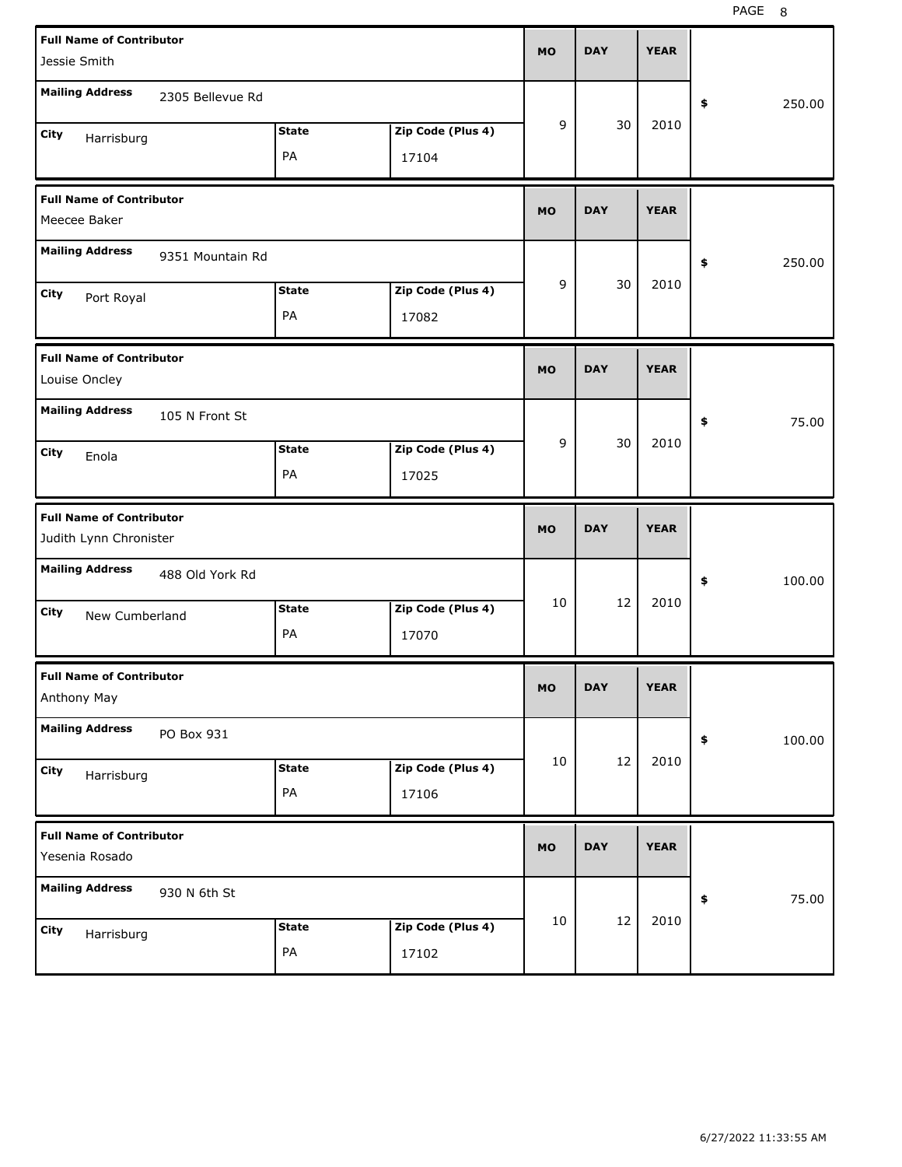PAGE 8

| <b>Full Name of Contributor</b>                           |                  |              |                   |           | <b>DAY</b> | <b>YEAR</b> |              |
|-----------------------------------------------------------|------------------|--------------|-------------------|-----------|------------|-------------|--------------|
| Jessie Smith                                              |                  |              |                   | <b>MO</b> |            |             |              |
| <b>Mailing Address</b>                                    | 2305 Bellevue Rd |              |                   |           |            |             | \$<br>250.00 |
| City<br>Harrisburg                                        |                  | <b>State</b> | Zip Code (Plus 4) | 9         | 30         | 2010        |              |
|                                                           |                  | PA           | 17104             |           |            |             |              |
| <b>Full Name of Contributor</b><br>Meecee Baker           |                  |              |                   | <b>MO</b> | <b>DAY</b> | <b>YEAR</b> |              |
| <b>Mailing Address</b>                                    | 9351 Mountain Rd |              |                   |           |            |             | \$<br>250.00 |
| City<br>Port Royal                                        |                  | <b>State</b> | Zip Code (Plus 4) | 9         | 30         | 2010        |              |
|                                                           |                  | PA           | 17082             |           |            |             |              |
| <b>Full Name of Contributor</b><br>Louise Oncley          |                  |              |                   | <b>MO</b> | <b>DAY</b> | <b>YEAR</b> |              |
| <b>Mailing Address</b>                                    | 105 N Front St   |              |                   |           |            |             | \$<br>75.00  |
| City<br>Enola                                             |                  | <b>State</b> | Zip Code (Plus 4) | 9         | 30         | 2010        |              |
|                                                           |                  | PA           | 17025             |           |            |             |              |
|                                                           |                  |              |                   |           |            |             |              |
| <b>Full Name of Contributor</b><br>Judith Lynn Chronister |                  |              |                   | <b>MO</b> | <b>DAY</b> | <b>YEAR</b> |              |
| <b>Mailing Address</b>                                    | 488 Old York Rd  |              |                   |           |            |             | \$<br>100.00 |
| City                                                      |                  | <b>State</b> | Zip Code (Plus 4) | 10        | 12         | 2010        |              |
| New Cumberland                                            |                  | PA           | 17070             |           |            |             |              |
| <b>Full Name of Contributor</b><br>Anthony May            |                  |              |                   | <b>MO</b> | <b>DAY</b> | <b>YEAR</b> |              |
| <b>Mailing Address</b>                                    | PO Box 931       |              |                   |           |            |             | \$<br>100.00 |
| City                                                      |                  | <b>State</b> | Zip Code (Plus 4) | 10        | 12         | 2010        |              |
| Harrisburg                                                |                  | PA           | 17106             |           |            |             |              |
| <b>Full Name of Contributor</b><br>Yesenia Rosado         |                  |              |                   | <b>MO</b> | <b>DAY</b> | <b>YEAR</b> |              |
| <b>Mailing Address</b>                                    | 930 N 6th St     |              |                   |           |            |             | \$<br>75.00  |
| City<br>Harrisburg                                        |                  | <b>State</b> | Zip Code (Plus 4) | 10        | 12         | 2010        |              |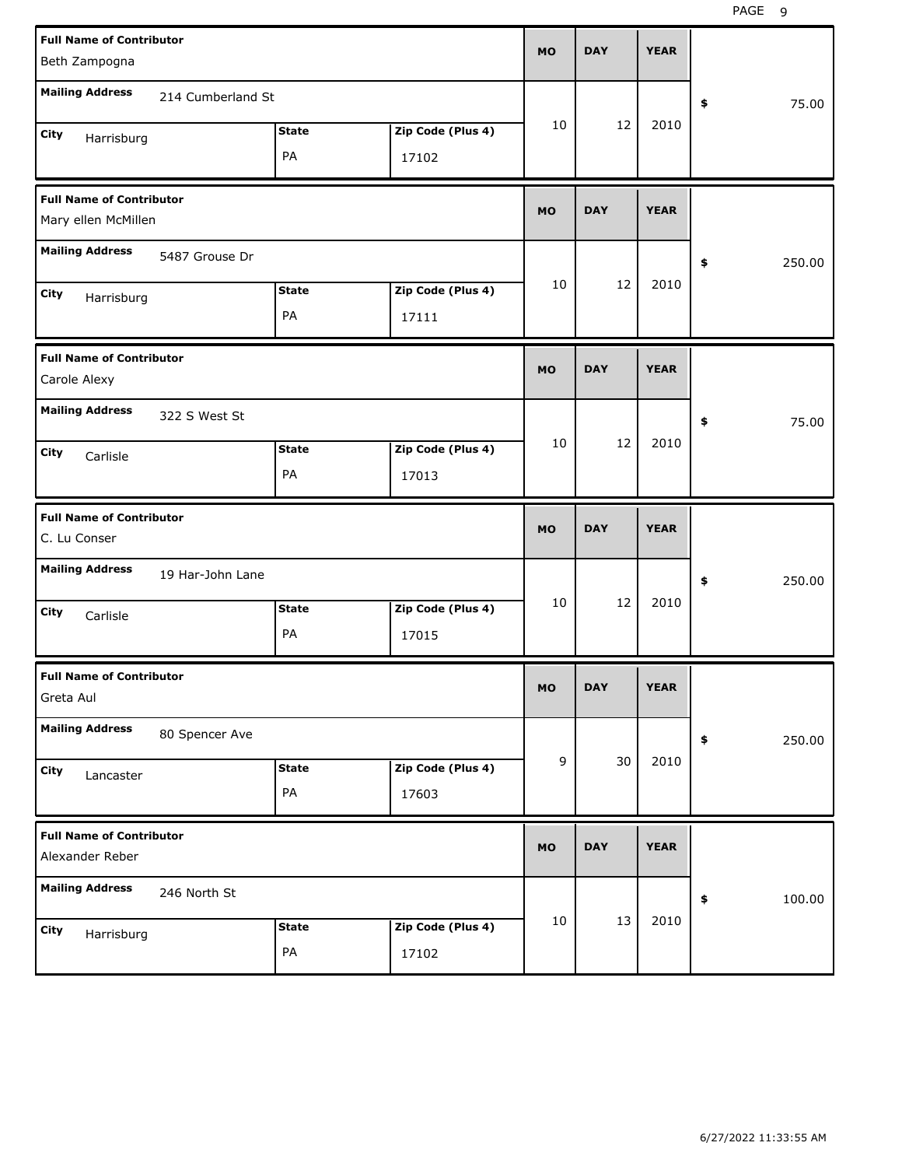|                                                    | <b>Full Name of Contributor</b><br>Beth Zampogna |              |                   |                |            | <b>YEAR</b> |              |
|----------------------------------------------------|--------------------------------------------------|--------------|-------------------|----------------|------------|-------------|--------------|
|                                                    |                                                  |              |                   |                |            |             |              |
| <b>Mailing Address</b>                             | 214 Cumberland St                                |              |                   |                |            |             | 75.00<br>\$  |
| City<br>Harrisburg                                 |                                                  | <b>State</b> | Zip Code (Plus 4) | 10             | 12         | 2010        |              |
|                                                    |                                                  | PA           | 17102             |                |            |             |              |
| <b>Full Name of Contributor</b>                    |                                                  |              |                   | <b>MO</b>      | <b>DAY</b> | <b>YEAR</b> |              |
| Mary ellen McMillen                                |                                                  |              |                   |                |            |             |              |
| <b>Mailing Address</b>                             | 5487 Grouse Dr                                   |              |                   |                |            |             | \$<br>250.00 |
| City<br>Harrisburg                                 |                                                  | <b>State</b> | Zip Code (Plus 4) | 10             | 12         | 2010        |              |
|                                                    |                                                  | PA           | 17111             |                |            |             |              |
| <b>Full Name of Contributor</b><br>Carole Alexy    |                                                  |              |                   | <b>MO</b>      | <b>DAY</b> | <b>YEAR</b> |              |
| <b>Mailing Address</b>                             | 322 S West St                                    |              |                   |                |            |             | 75.00<br>\$  |
| City<br>Carlisle                                   |                                                  | <b>State</b> | Zip Code (Plus 4) | 10             | 12         | 2010        |              |
|                                                    |                                                  | PA           | 17013             |                |            |             |              |
|                                                    |                                                  |              |                   |                |            |             |              |
| <b>Full Name of Contributor</b><br>C. Lu Conser    |                                                  |              |                   | <b>MO</b>      | <b>DAY</b> | <b>YEAR</b> |              |
| <b>Mailing Address</b>                             | 19 Har-John Lane                                 |              |                   |                |            |             | 250.00<br>\$ |
| City<br>Carlisle                                   |                                                  | <b>State</b> | Zip Code (Plus 4) | 10             | 12         | 2010        |              |
|                                                    |                                                  | PA           | 17015             |                |            |             |              |
| <b>Full Name of Contributor</b><br>Greta Aul       |                                                  |              |                   | МO             | DAY        | <b>YEAR</b> |              |
| <b>Mailing Address</b>                             | 80 Spencer Ave                                   |              |                   |                |            |             | \$<br>250.00 |
| City                                               |                                                  | <b>State</b> | Zip Code (Plus 4) | $\overline{9}$ | 30         | 2010        |              |
| Lancaster                                          |                                                  | PA           | 17603             |                |            |             |              |
| <b>Full Name of Contributor</b><br>Alexander Reber |                                                  |              |                   | <b>MO</b>      | <b>DAY</b> | <b>YEAR</b> |              |
| <b>Mailing Address</b>                             | 246 North St                                     |              |                   |                |            |             | 100.00<br>\$ |
| City<br>Harrisburg                                 |                                                  | <b>State</b> | Zip Code (Plus 4) | 10             | 13         | 2010        |              |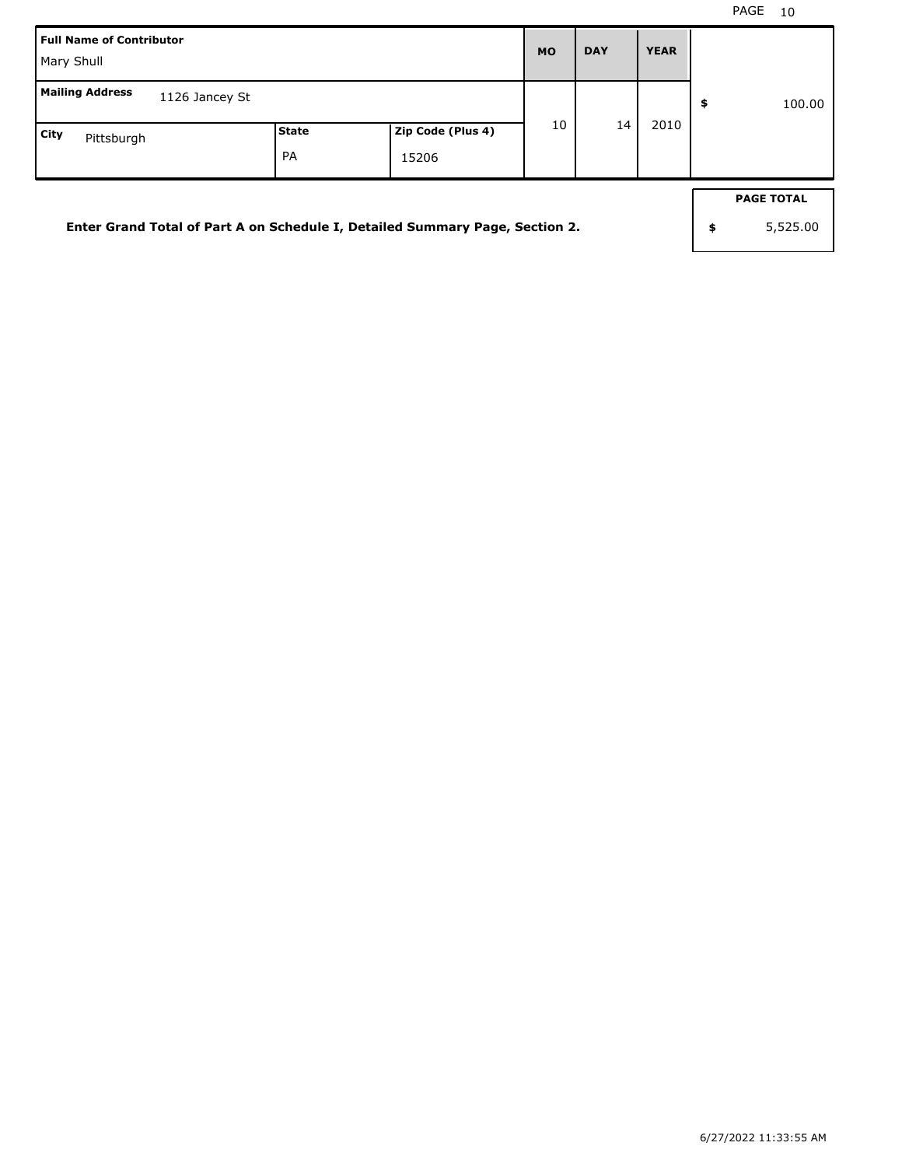| Full Name of Contributor<br>Mary Shull                                       |             |                            | <b>MO</b> | <b>DAY</b> | <b>YEAR</b> |                                     |
|------------------------------------------------------------------------------|-------------|----------------------------|-----------|------------|-------------|-------------------------------------|
| <b>Mailing Address</b><br>1126 Jancey St                                     |             |                            |           |            |             | \$<br>100.00                        |
| <b>City</b><br>Pittsburgh                                                    | State<br>PA | Zip Code (Plus 4)<br>15206 | 10        | 14         | 2010        |                                     |
| Enter Grand Total of Part A on Schedule I, Detailed Summary Page, Section 2. |             |                            |           |            |             | \$<br><b>PAGE TOTAL</b><br>5,525.00 |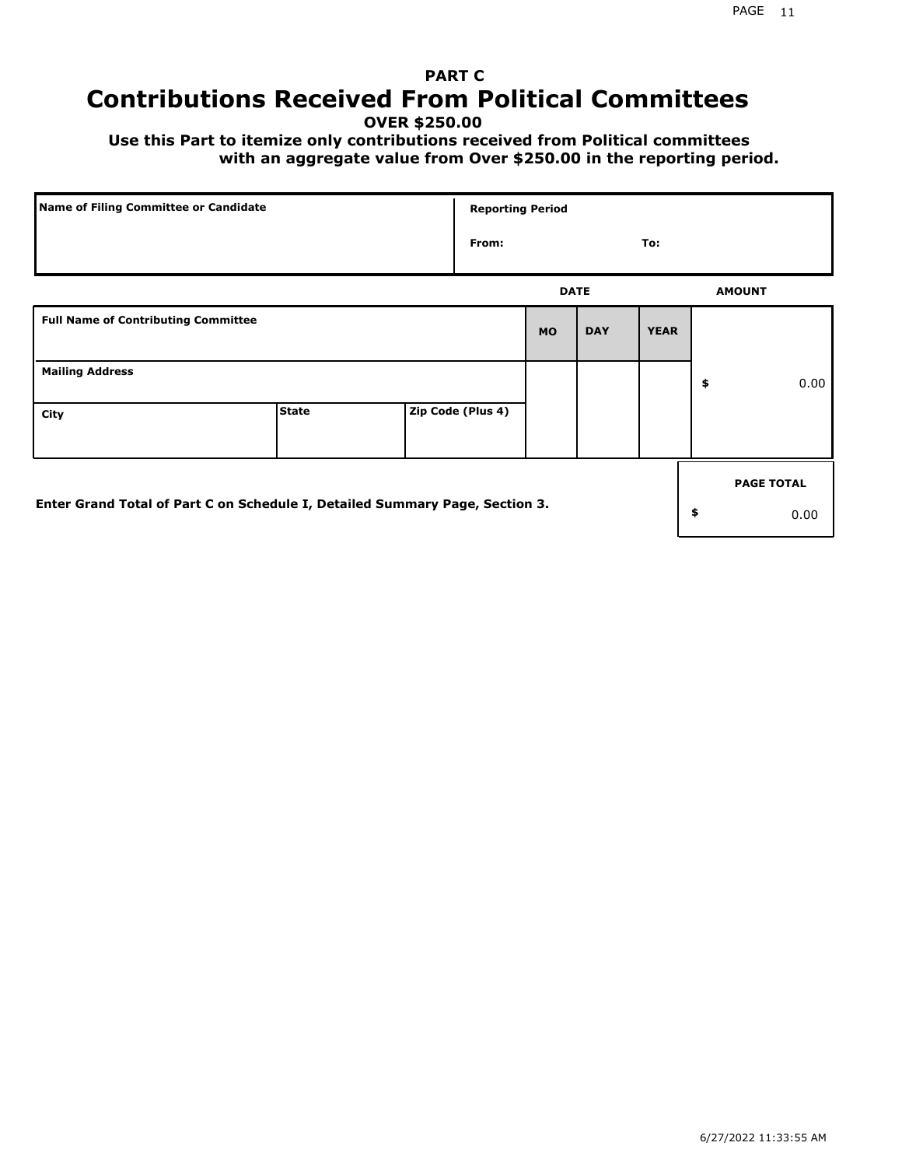## **PART C Contributions Received From Political Committees**

**OVER \$250.00**

 **Use this Part to itemize only contributions received from Political committees with an aggregate value from Over \$250.00 in the reporting period.**

| Name of Filing Committee or Candidate                                        |              |  | <b>Reporting Period</b> |             |            |             |    |                   |
|------------------------------------------------------------------------------|--------------|--|-------------------------|-------------|------------|-------------|----|-------------------|
|                                                                              |              |  | From:                   |             |            | To:         |    |                   |
|                                                                              |              |  |                         | <b>DATE</b> |            |             |    | <b>AMOUNT</b>     |
| <b>Full Name of Contributing Committee</b>                                   |              |  |                         | <b>MO</b>   | <b>DAY</b> | <b>YEAR</b> |    |                   |
| <b>Mailing Address</b>                                                       |              |  |                         |             |            |             | \$ | 0.00              |
| City                                                                         | <b>State</b> |  | Zip Code (Plus 4)       |             |            |             |    |                   |
|                                                                              |              |  |                         |             |            |             |    | <b>PAGE TOTAL</b> |
| Enter Grand Total of Part C on Schedule I, Detailed Summary Page, Section 3. |              |  |                         |             |            |             | \$ | 0.00              |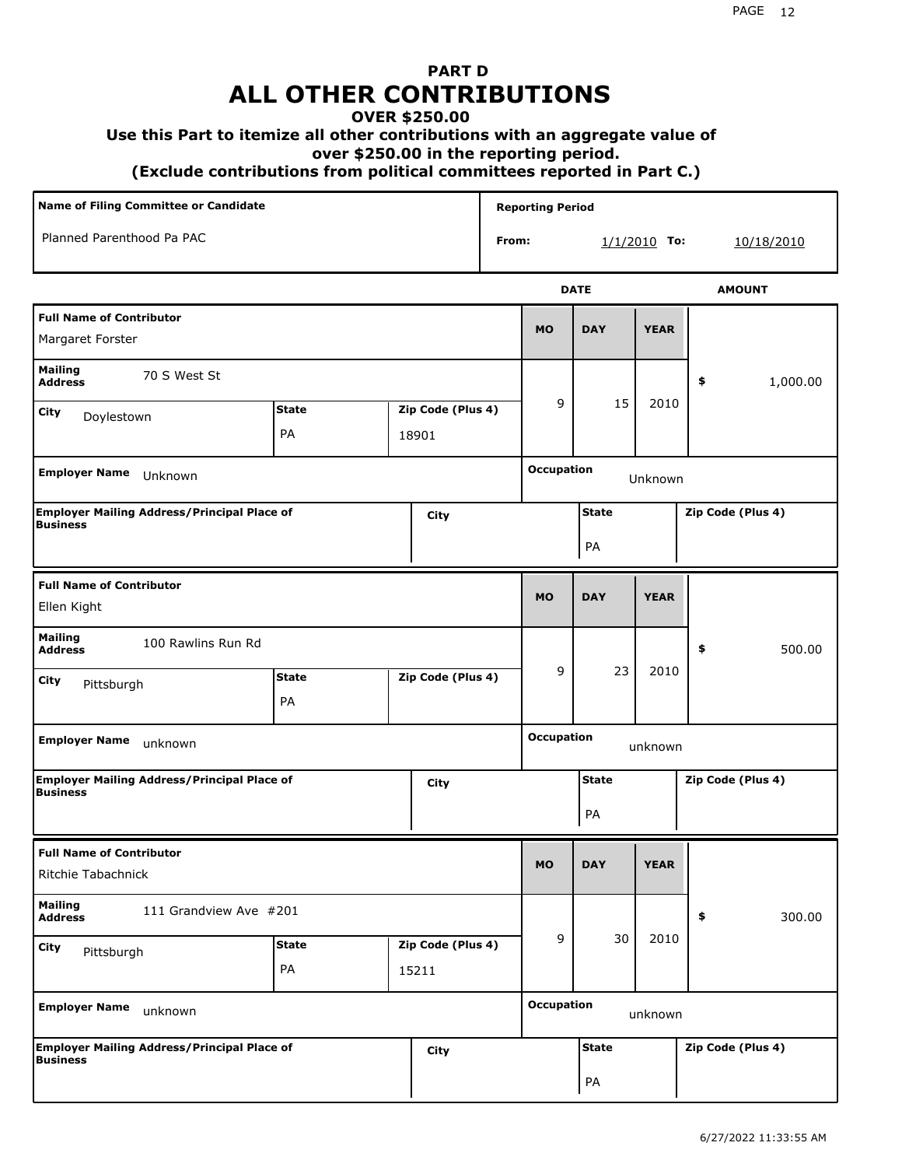# **PART D ALL OTHER CONTRIBUTIONS**

#### **OVER \$250.00**

#### **Use this Part to itemize all other contributions with an aggregate value of**

 **over \$250.00 in the reporting period.**

 **(Exclude contributions from political committees reported in Part C.)** 

| <b>Name of Filing Committee or Candidate</b>                                  |                                                  |       |                              |                    | <b>Reporting Period</b> |                   |                |                   |
|-------------------------------------------------------------------------------|--------------------------------------------------|-------|------------------------------|--------------------|-------------------------|-------------------|----------------|-------------------|
| Planned Parenthood Pa PAC                                                     |                                                  |       |                              | From:              |                         |                   | $1/1/2010$ To: | <u>10/18/2010</u> |
|                                                                               |                                                  |       |                              |                    |                         | <b>DATE</b>       |                | <b>AMOUNT</b>     |
| <b>Full Name of Contributor</b><br>Margaret Forster                           |                                                  |       |                              |                    | <b>MO</b>               | <b>DAY</b>        | <b>YEAR</b>    |                   |
| <b>Mailing</b><br>70 S West St<br><b>Address</b>                              |                                                  |       |                              |                    |                         |                   | 1,000.00<br>\$ |                   |
| City<br>Doylestown                                                            | <b>State</b><br>Zip Code (Plus 4)<br>PA<br>18901 |       |                              | 9                  | 15                      | 2010              |                |                   |
| <b>Employer Name</b><br>Unknown                                               |                                                  |       |                              |                    | <b>Occupation</b>       |                   | Unknown        |                   |
| <b>Employer Mailing Address/Principal Place of</b><br>City<br><b>Business</b> |                                                  |       |                              | <b>State</b><br>PA |                         | Zip Code (Plus 4) |                |                   |
| <b>Full Name of Contributor</b><br>Ellen Kight                                |                                                  |       |                              |                    | <b>MO</b>               | <b>DAY</b>        | <b>YEAR</b>    |                   |
| <b>Mailing</b><br>100 Rawlins Run Rd<br><b>Address</b>                        |                                                  |       |                              |                    |                         |                   |                | \$<br>500.00      |
| City<br>Pittsburgh                                                            | <b>State</b><br>PA                               |       | Zip Code (Plus 4)            |                    | 9                       | 23                | 2010           |                   |
| <b>Employer Name</b><br>unknown                                               |                                                  |       |                              |                    | <b>Occupation</b>       | unknown           |                |                   |
| <b>Employer Mailing Address/Principal Place of</b><br><b>Business</b>         |                                                  |       | City                         |                    | <b>State</b><br>PA      |                   |                | Zip Code (Plus 4) |
| <b>Full Name of Contributor</b><br>Ritchie Tabachnick                         |                                                  |       |                              |                    | <b>MO</b>               | <b>DAY</b>        | <b>YEAR</b>    |                   |
| <b>Mailing</b><br>111 Grandview Ave #201<br><b>Address</b>                    |                                                  |       |                              |                    |                         |                   |                | 300.00<br>\$      |
| City<br>Pittsburgh                                                            | <b>State</b><br>PA                               | 15211 | Zip Code (Plus 4)            |                    | 9                       | 30                | 2010           |                   |
| <b>Employer Name</b><br>unknown                                               |                                                  |       | <b>Occupation</b><br>unknown |                    |                         |                   |                |                   |
| <b>Employer Mailing Address/Principal Place of</b><br>City<br><b>Business</b> |                                                  |       |                              | <b>State</b><br>PA |                         | Zip Code (Plus 4) |                |                   |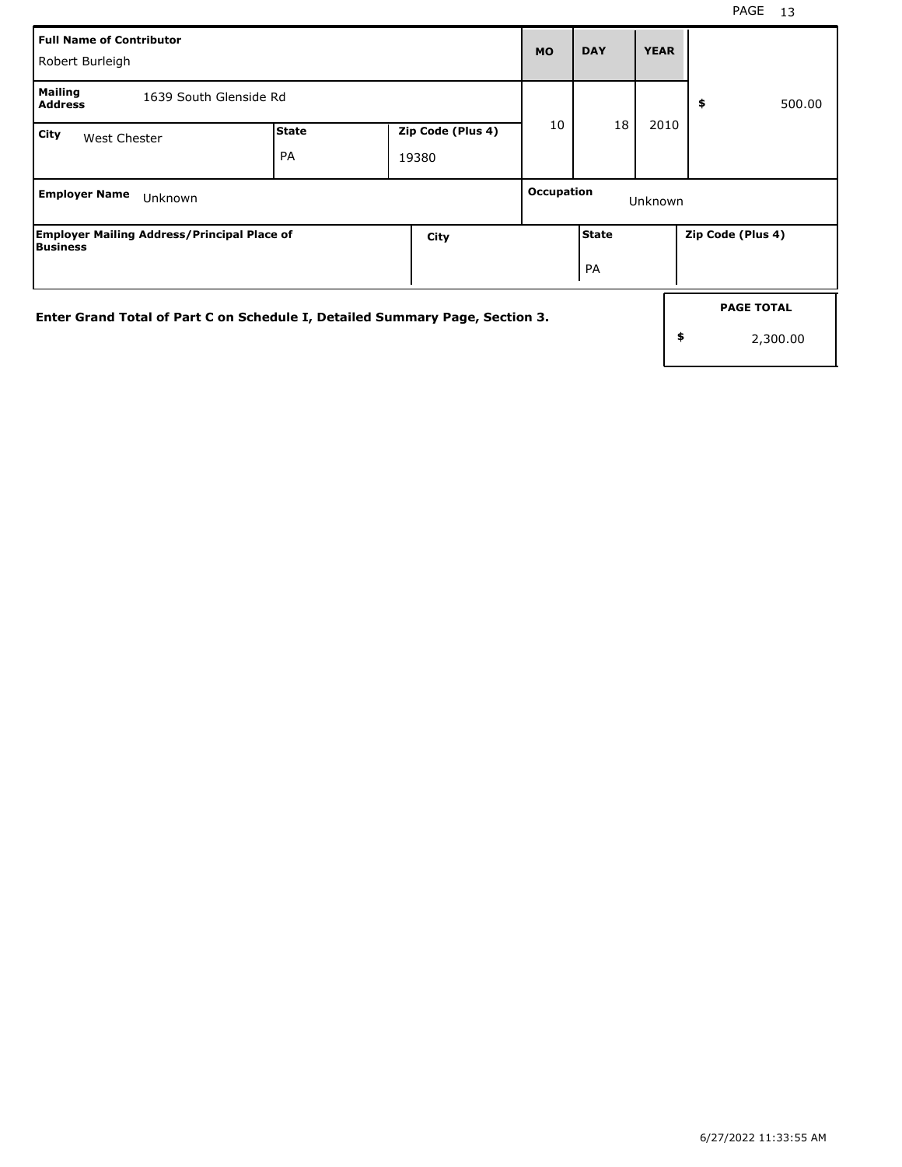| <b>Full Name of Contributor</b><br>Robert Burleigh                           |                                                           |  |      |                       | <b>DAY</b>                          | <b>YEAR</b> |                   |  |
|------------------------------------------------------------------------------|-----------------------------------------------------------|--|------|-----------------------|-------------------------------------|-------------|-------------------|--|
| <b>Mailing</b><br>1639 South Glenside Rd<br><b>Address</b>                   |                                                           |  |      |                       | 18                                  |             | 500.00<br>\$      |  |
| City                                                                         | State<br>Zip Code (Plus 4)<br>West Chester<br>PA<br>19380 |  |      |                       |                                     | 2010        |                   |  |
| <b>Employer Name</b>                                                         | Unknown                                                   |  |      | Occupation<br>Unknown |                                     |             |                   |  |
| Business                                                                     | <b>Employer Mailing Address/Principal Place of</b>        |  | City |                       | <b>State</b><br>PA                  |             | Zip Code (Plus 4) |  |
| Enter Grand Total of Part C on Schedule I, Detailed Summary Page, Section 3. |                                                           |  |      |                       | <b>PAGE TOTAL</b><br>\$<br>2,300.00 |             |                   |  |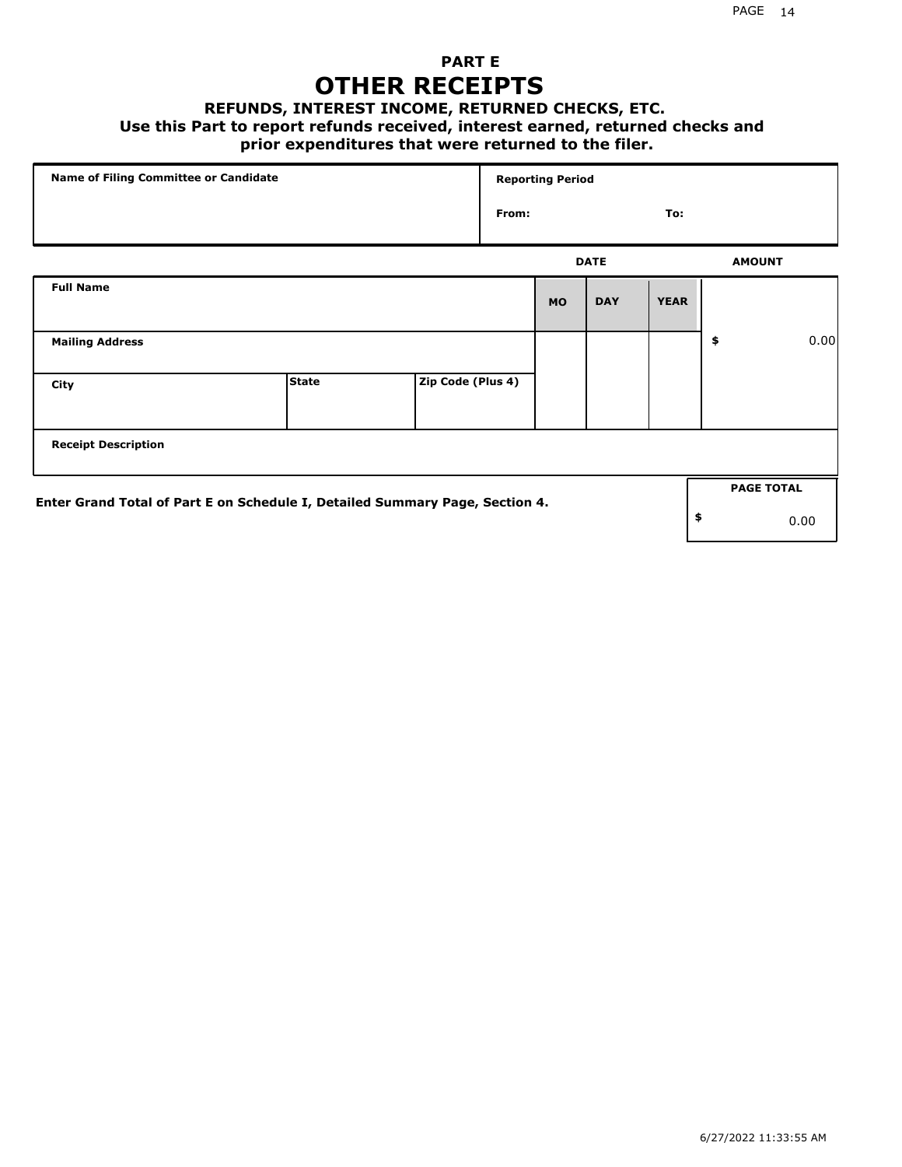### **PART E OTHER RECEIPTS**

#### **REFUNDS, INTEREST INCOME, RETURNED CHECKS, ETC.**

#### **Use this Part to report refunds received, interest earned, returned checks and**

### **prior expenditures that were returned to the filer.**

| Name of Filing Committee or Candidate                                        |              |                   | <b>Reporting Period</b> |           |             |             |    |                   |      |
|------------------------------------------------------------------------------|--------------|-------------------|-------------------------|-----------|-------------|-------------|----|-------------------|------|
|                                                                              |              |                   | From:                   | To:       |             |             |    |                   |      |
|                                                                              |              |                   |                         |           | <b>DATE</b> |             |    | <b>AMOUNT</b>     |      |
| <b>Full Name</b>                                                             |              |                   |                         | <b>MO</b> | <b>DAY</b>  | <b>YEAR</b> |    |                   |      |
| <b>Mailing Address</b>                                                       |              |                   |                         |           |             |             | \$ |                   | 0.00 |
| City                                                                         | <b>State</b> | Zip Code (Plus 4) |                         |           |             |             |    |                   |      |
| <b>Receipt Description</b>                                                   |              |                   |                         |           |             |             |    |                   |      |
| Enter Grand Total of Part E on Schedule I, Detailed Summary Page, Section 4. |              |                   |                         |           |             |             |    | <b>PAGE TOTAL</b> |      |
|                                                                              |              |                   |                         |           |             |             | \$ |                   | 0.00 |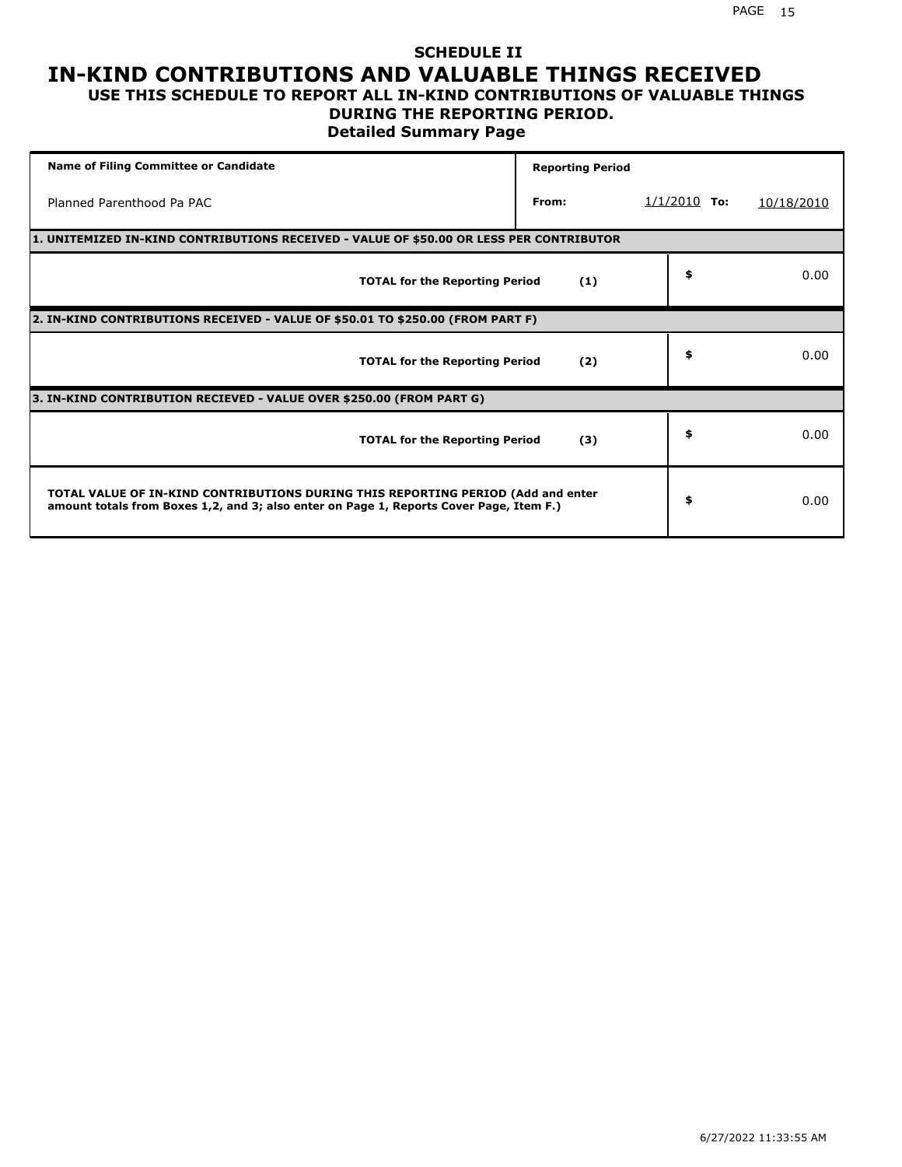## **SCHEDULE II IN-KIND CONTRIBUTIONS AND VALUABLE THINGS RECEIVED**

### **USE THIS SCHEDULE TO REPORT ALL IN-KIND CONTRIBUTIONS OF VALUABLE THINGS DURING THE REPORTING PERIOD.**

**Detailed Summary Page**

| <b>Name of Filing Committee or Candidate</b>                                                                                                                                | <b>Reporting Period</b> |                |            |
|-----------------------------------------------------------------------------------------------------------------------------------------------------------------------------|-------------------------|----------------|------------|
| Planned Parenthood Pa PAC                                                                                                                                                   | From:                   | $1/1/2010$ To: | 10/18/2010 |
| 1. UNITEMIZED IN-KIND CONTRIBUTIONS RECEIVED - VALUE OF \$50.00 OR LESS PER CONTRIBUTOR                                                                                     |                         |                |            |
| <b>TOTAL for the Reporting Period</b>                                                                                                                                       | (1)                     | \$             | 0.00       |
| 2. IN-KIND CONTRIBUTIONS RECEIVED - VALUE OF \$50.01 TO \$250.00 (FROM PART F)                                                                                              |                         |                |            |
| <b>TOTAL for the Reporting Period</b>                                                                                                                                       | (2)                     | \$             | 0.00       |
| 3. IN-KIND CONTRIBUTION RECIEVED - VALUE OVER \$250.00 (FROM PART G)                                                                                                        |                         |                |            |
| <b>TOTAL for the Reporting Period</b>                                                                                                                                       | (3)                     | \$             | 0.00       |
| TOTAL VALUE OF IN-KIND CONTRIBUTIONS DURING THIS REPORTING PERIOD (Add and enter<br>amount totals from Boxes 1,2, and 3; also enter on Page 1, Reports Cover Page, Item F.) |                         | \$             | 0.00       |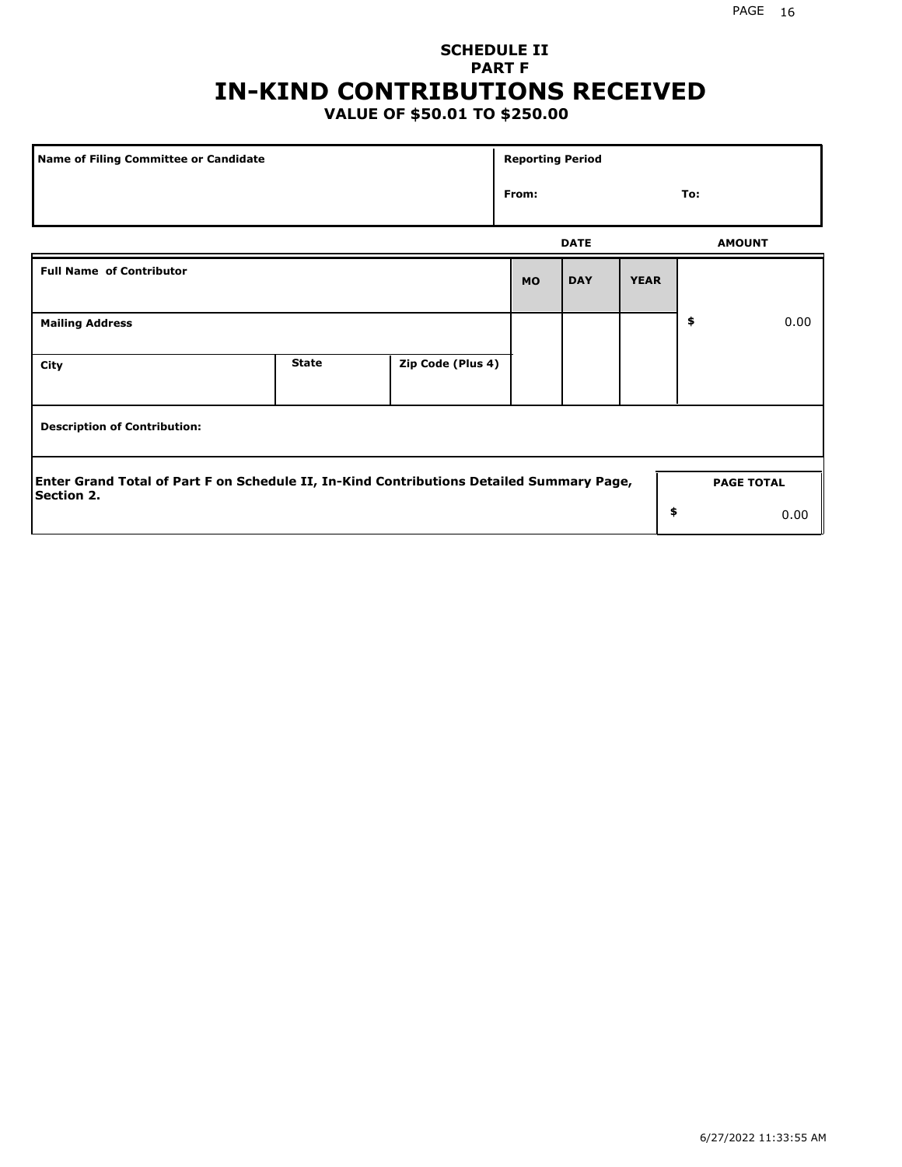## **SCHEDULE II PART F IN-KIND CONTRIBUTIONS RECEIVED**

### **VALUE OF \$50.01 TO \$250.00**

| <b>Name of Filing Committee or Candidate</b>                                                                  |              |                   | <b>Reporting Period</b> |               |             |     |                   |
|---------------------------------------------------------------------------------------------------------------|--------------|-------------------|-------------------------|---------------|-------------|-----|-------------------|
|                                                                                                               |              |                   | From:                   |               |             | To: |                   |
|                                                                                                               | <b>DATE</b>  |                   |                         | <b>AMOUNT</b> |             |     |                   |
| <b>Full Name of Contributor</b>                                                                               |              |                   | <b>MO</b>               | <b>DAY</b>    | <b>YEAR</b> |     |                   |
| <b>Mailing Address</b>                                                                                        |              |                   |                         |               |             | \$  | 0.00              |
| City                                                                                                          | <b>State</b> | Zip Code (Plus 4) |                         |               |             |     |                   |
| <b>Description of Contribution:</b>                                                                           |              |                   |                         |               |             |     |                   |
| Enter Grand Total of Part F on Schedule II, In-Kind Contributions Detailed Summary Page,<br><b>Section 2.</b> |              |                   |                         |               |             |     | <b>PAGE TOTAL</b> |
|                                                                                                               |              |                   |                         |               | \$          |     | 0.00              |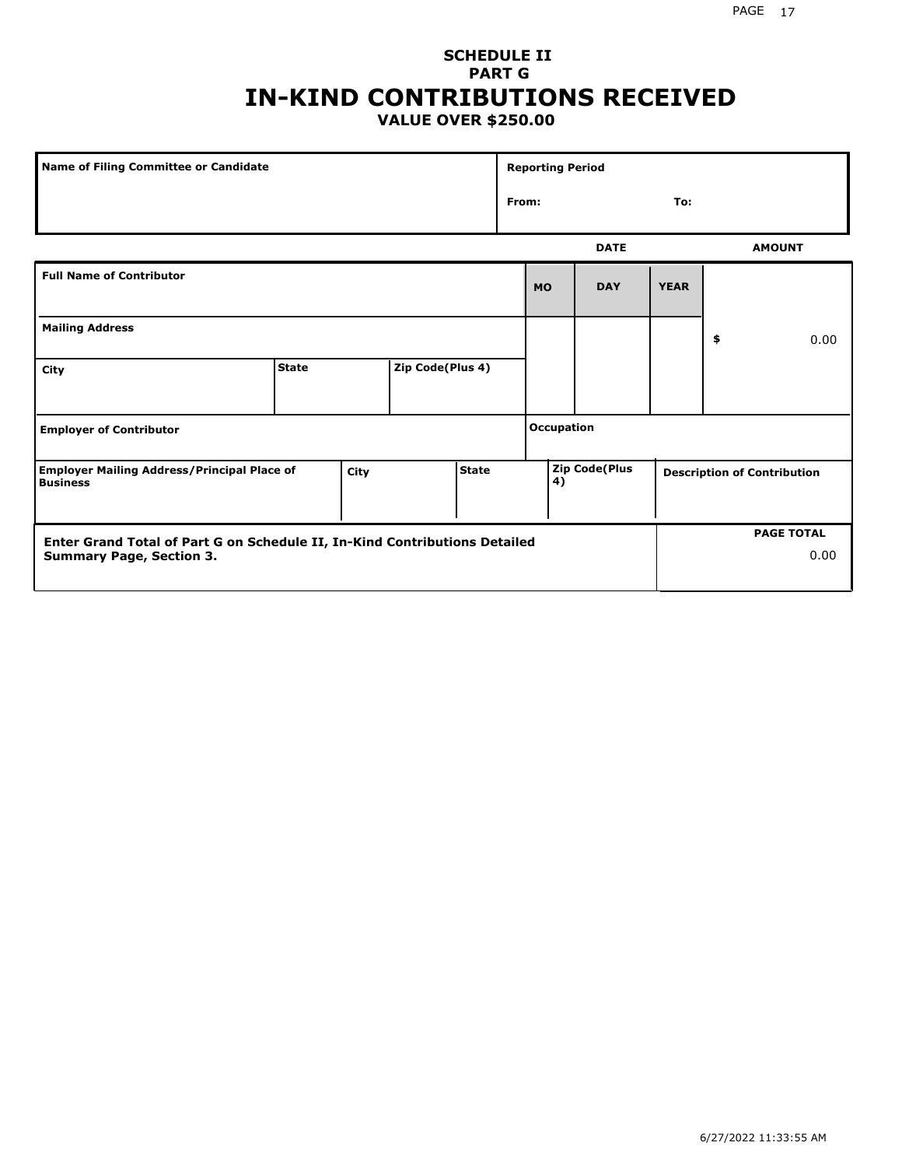#### PAGE 17

### **SCHEDULE II PART G IN-KIND CONTRIBUTIONS RECEIVED VALUE OVER \$250.00**

| <b>Name of Filing Committee or Candidate</b>                                                                  |              |  |                  | <b>Reporting Period</b> |              |                      |             |             |                                    |                           |
|---------------------------------------------------------------------------------------------------------------|--------------|--|------------------|-------------------------|--------------|----------------------|-------------|-------------|------------------------------------|---------------------------|
|                                                                                                               |              |  |                  |                         | From:<br>To: |                      |             |             |                                    |                           |
|                                                                                                               |              |  |                  |                         |              |                      | <b>DATE</b> |             |                                    | <b>AMOUNT</b>             |
| <b>Full Name of Contributor</b>                                                                               |              |  |                  |                         |              | <b>MO</b>            | <b>DAY</b>  | <b>YEAR</b> |                                    |                           |
| <b>Mailing Address</b>                                                                                        |              |  |                  |                         |              |                      |             |             | \$                                 | 0.00                      |
| City                                                                                                          | <b>State</b> |  | Zip Code(Plus 4) |                         |              |                      |             |             |                                    |                           |
| <b>Employer of Contributor</b>                                                                                |              |  |                  |                         |              | <b>Occupation</b>    |             |             |                                    |                           |
| <b>State</b><br><b>Employer Mailing Address/Principal Place of</b><br>City<br><b>Business</b>                 |              |  |                  |                         | 4)           | <b>Zip Code(Plus</b> |             |             | <b>Description of Contribution</b> |                           |
| Enter Grand Total of Part G on Schedule II, In-Kind Contributions Detailed<br><b>Summary Page, Section 3.</b> |              |  |                  |                         |              |                      |             |             |                                    | <b>PAGE TOTAL</b><br>0.00 |
|                                                                                                               |              |  |                  |                         |              |                      |             |             |                                    |                           |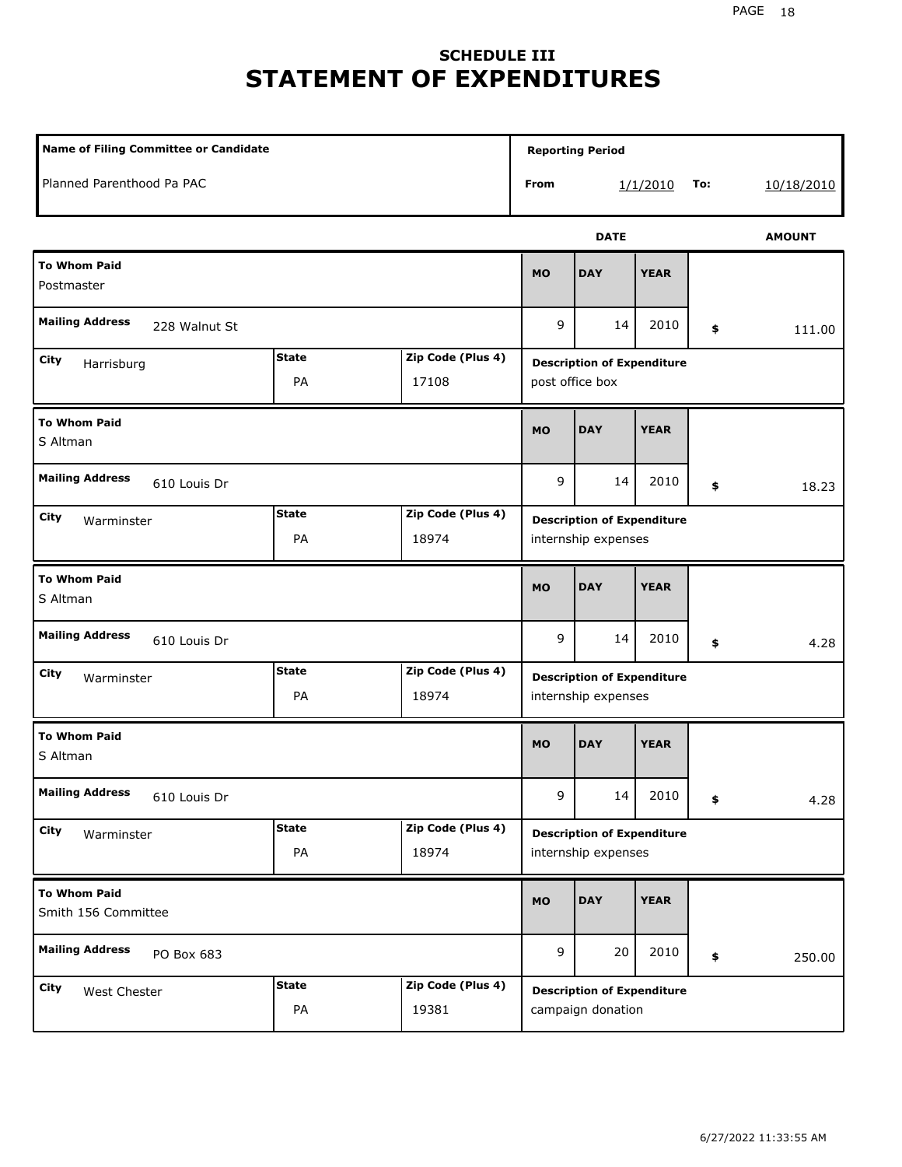## **SCHEDULE III STATEMENT OF EXPENDITURES**

| <b>Name of Filing Committee or Candidate</b>                           |                    |                            |             | <b>Reporting Period</b>                                  |             |     |               |  |
|------------------------------------------------------------------------|--------------------|----------------------------|-------------|----------------------------------------------------------|-------------|-----|---------------|--|
| Planned Parenthood Pa PAC                                              |                    |                            | From        |                                                          | 1/1/2010    | To: | 10/18/2010    |  |
|                                                                        |                    |                            |             | <b>DATE</b>                                              |             |     | <b>AMOUNT</b> |  |
| <b>To Whom Paid</b><br>Postmaster                                      | <b>MO</b>          | <b>DAY</b>                 | <b>YEAR</b> |                                                          |             |     |               |  |
| <b>Mailing Address</b><br>228 Walnut St                                | 9                  | 14                         | 2010        | \$                                                       | 111.00      |     |               |  |
| <b>State</b><br>Zip Code (Plus 4)<br>City<br>Harrisburg<br>PA<br>17108 |                    |                            |             | <b>Description of Expenditure</b><br>post office box     |             |     |               |  |
| <b>To Whom Paid</b><br>S Altman                                        | <b>MO</b>          | <b>DAY</b>                 | <b>YEAR</b> |                                                          |             |     |               |  |
| <b>Mailing Address</b><br>610 Louis Dr                                 |                    |                            |             | 14                                                       | 2010        | \$  | 18.23         |  |
| <b>State</b><br>Zip Code (Plus 4)<br>City<br>Warminster<br>PA<br>18974 |                    |                            |             | <b>Description of Expenditure</b><br>internship expenses |             |     |               |  |
| <b>To Whom Paid</b><br>S Altman                                        |                    |                            |             | <b>DAY</b>                                               | <b>YEAR</b> |     |               |  |
| <b>Mailing Address</b><br>610 Louis Dr                                 |                    |                            | 9           | 14                                                       | 2010        | \$  | 4.28          |  |
| City<br>Warminster                                                     | <b>State</b><br>PA | Zip Code (Plus 4)<br>18974 |             | <b>Description of Expenditure</b><br>internship expenses |             |     |               |  |
| <b>To Whom Paid</b><br>S Altman                                        |                    |                            | <b>MO</b>   | <b>DAY</b>                                               | <b>YEAR</b> |     |               |  |
| <b>Mailing Address</b><br>610 Louis Dr                                 |                    |                            | 9           | 14                                                       | 2010        | \$  | 4.28          |  |
| City<br>Warminster                                                     | <b>State</b><br>PA | Zip Code (Plus 4)<br>18974 |             | <b>Description of Expenditure</b><br>internship expenses |             |     |               |  |
| <b>To Whom Paid</b><br>Smith 156 Committee                             |                    |                            | <b>MO</b>   | <b>DAY</b>                                               | <b>YEAR</b> |     |               |  |
| <b>Mailing Address</b><br>PO Box 683                                   |                    |                            | 9           | 20                                                       | 2010        | \$  | 250.00        |  |
| City<br>West Chester                                                   | <b>State</b><br>PA | Zip Code (Plus 4)<br>19381 |             | <b>Description of Expenditure</b><br>campaign donation   |             |     |               |  |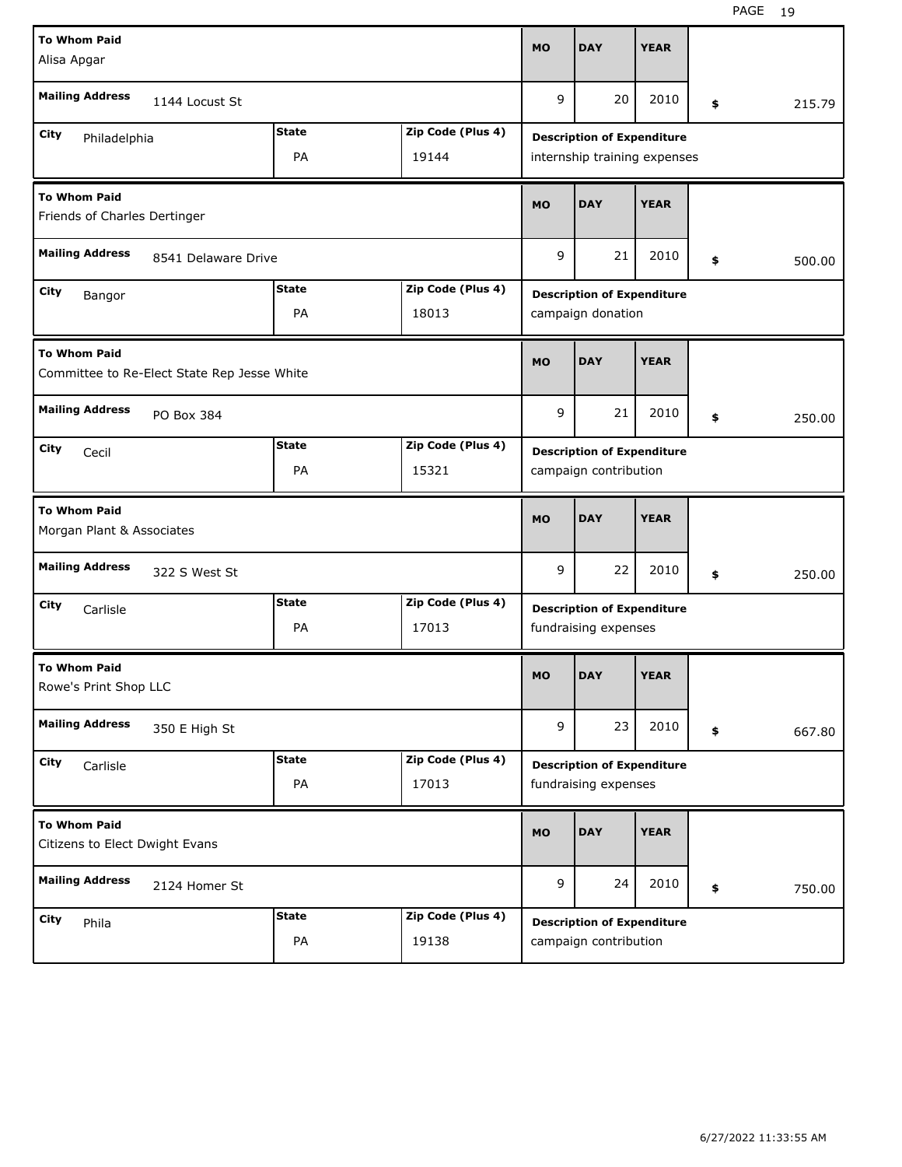| <b>To Whom Paid</b>                                                |                                   |                                   | <b>MO</b>                         | <b>DAY</b>                        | <b>YEAR</b> |    |        |  |  |
|--------------------------------------------------------------------|-----------------------------------|-----------------------------------|-----------------------------------|-----------------------------------|-------------|----|--------|--|--|
| Alisa Apgar                                                        |                                   |                                   |                                   |                                   |             |    |        |  |  |
| <b>Mailing Address</b><br>1144 Locust St                           |                                   |                                   | 9                                 | 20                                | 2010        | \$ | 215.79 |  |  |
| City<br>Philadelphia                                               | <b>State</b>                      | Zip Code (Plus 4)                 | <b>Description of Expenditure</b> |                                   |             |    |        |  |  |
|                                                                    |                                   | internship training expenses      |                                   |                                   |             |    |        |  |  |
| <b>To Whom Paid</b><br>Friends of Charles Dertinger                |                                   |                                   | <b>MO</b>                         | <b>DAY</b>                        | <b>YEAR</b> |    |        |  |  |
| <b>Mailing Address</b><br>8541 Delaware Drive                      |                                   |                                   |                                   | 21                                | 2010        | \$ | 500.00 |  |  |
| City<br>Bangor                                                     |                                   | <b>Description of Expenditure</b> |                                   |                                   |             |    |        |  |  |
|                                                                    | PA                                | 18013                             |                                   | campaign donation                 |             |    |        |  |  |
| <b>To Whom Paid</b><br>Committee to Re-Elect State Rep Jesse White |                                   |                                   | <b>MO</b>                         | <b>DAY</b>                        | <b>YEAR</b> |    |        |  |  |
| <b>Mailing Address</b><br>PO Box 384                               |                                   |                                   | 9                                 | 21                                | 2010        | \$ | 250.00 |  |  |
| City<br>Cecil                                                      | <b>Description of Expenditure</b> |                                   |                                   |                                   |             |    |        |  |  |
|                                                                    | PA                                | 15321                             |                                   | campaign contribution             |             |    |        |  |  |
|                                                                    |                                   |                                   |                                   |                                   |             |    |        |  |  |
| <b>To Whom Paid</b><br>Morgan Plant & Associates                   |                                   |                                   | <b>MO</b>                         | <b>DAY</b>                        | <b>YEAR</b> |    |        |  |  |
| <b>Mailing Address</b><br>322 S West St                            |                                   |                                   | 9                                 | 22                                | 2010        | \$ | 250.00 |  |  |
| City<br>Carlisle                                                   | <b>State</b>                      | Zip Code (Plus 4)                 |                                   | <b>Description of Expenditure</b> |             |    |        |  |  |
|                                                                    | PA                                | 17013                             |                                   | fundraising expenses              |             |    |        |  |  |
| <b>To Whom Paid</b><br>Rowe's Print Shop LLC                       |                                   |                                   | <b>MO</b>                         | <b>DAY</b>                        | <b>YEAR</b> |    |        |  |  |
| <b>Mailing Address</b><br>350 E High St                            |                                   |                                   | 9                                 | 23                                | 2010        | \$ | 667.80 |  |  |
| City<br>Carlisle                                                   | <b>State</b>                      | Zip Code (Plus 4)                 |                                   | <b>Description of Expenditure</b> |             |    |        |  |  |
|                                                                    | PA                                | 17013                             |                                   | fundraising expenses              |             |    |        |  |  |
| <b>To Whom Paid</b><br>Citizens to Elect Dwight Evans              |                                   |                                   | <b>MO</b>                         | <b>DAY</b>                        | <b>YEAR</b> |    |        |  |  |
| <b>Mailing Address</b><br>2124 Homer St                            |                                   |                                   | 9                                 | 24                                | 2010        | \$ | 750.00 |  |  |
| <b>City</b><br>Phila                                               | <b>State</b>                      | Zip Code (Plus 4)                 |                                   | <b>Description of Expenditure</b> |             |    |        |  |  |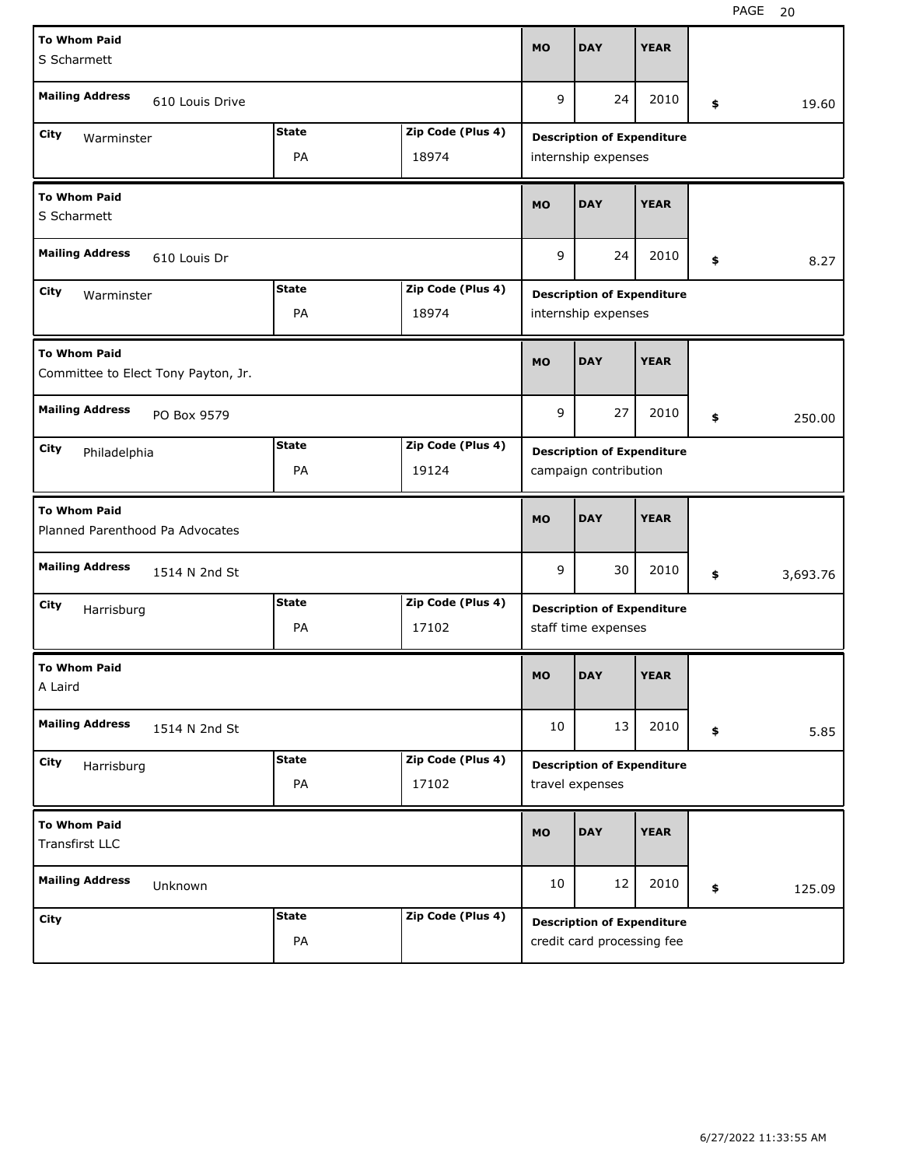| <b>To Whom Paid</b>                                        | <b>MO</b>    | <b>DAY</b>                        | <b>YEAR</b>                       |                                   |             |    |          |  |  |
|------------------------------------------------------------|--------------|-----------------------------------|-----------------------------------|-----------------------------------|-------------|----|----------|--|--|
| S Scharmett                                                |              |                                   |                                   |                                   |             |    |          |  |  |
| <b>Mailing Address</b><br>610 Louis Drive                  |              |                                   | 9                                 | 24                                | 2010        | \$ | 19.60    |  |  |
| <b>City</b><br>Warminster                                  | <b>State</b> | Zip Code (Plus 4)                 | <b>Description of Expenditure</b> |                                   |             |    |          |  |  |
|                                                            |              | internship expenses               |                                   |                                   |             |    |          |  |  |
| <b>To Whom Paid</b><br>S Scharmett                         | <b>MO</b>    | <b>DAY</b>                        | <b>YEAR</b>                       |                                   |             |    |          |  |  |
| <b>Mailing Address</b><br>610 Louis Dr                     | 9            | 24                                | 2010                              | \$                                | 8.27        |    |          |  |  |
| City<br>Warminster                                         |              | <b>Description of Expenditure</b> |                                   |                                   |             |    |          |  |  |
|                                                            | PA           | 18974                             |                                   | internship expenses               |             |    |          |  |  |
| <b>To Whom Paid</b><br>Committee to Elect Tony Payton, Jr. | <b>MO</b>    | <b>DAY</b>                        | <b>YEAR</b>                       |                                   |             |    |          |  |  |
| <b>Mailing Address</b><br>PO Box 9579                      |              |                                   | 9                                 | 27                                | 2010        | \$ | 250.00   |  |  |
| City<br>Philadelphia                                       | <b>State</b> | Zip Code (Plus 4)                 | <b>Description of Expenditure</b> |                                   |             |    |          |  |  |
|                                                            | PA           | 19124                             |                                   | campaign contribution             |             |    |          |  |  |
| <b>To Whom Paid</b><br>Planned Parenthood Pa Advocates     |              |                                   |                                   |                                   |             |    |          |  |  |
|                                                            |              |                                   | <b>MO</b>                         | <b>DAY</b>                        | <b>YEAR</b> |    |          |  |  |
| <b>Mailing Address</b><br>1514 N 2nd St                    |              |                                   | 9                                 | 30                                | 2010        | \$ | 3,693.76 |  |  |
| City<br>Harrisburg                                         | <b>State</b> | Zip Code (Plus 4)                 |                                   | <b>Description of Expenditure</b> |             |    |          |  |  |
|                                                            | PA           | 17102                             |                                   | staff time expenses               |             |    |          |  |  |
| <b>To Whom Paid</b><br>A Laird                             |              |                                   | <b>MO</b>                         | <b>DAY</b>                        | <b>YEAR</b> |    |          |  |  |
| <b>Mailing Address</b><br>1514 N 2nd St                    |              |                                   | 10                                | 13                                | 2010        | \$ | 5.85     |  |  |
| City                                                       | <b>State</b> | Zip Code (Plus 4)                 |                                   | <b>Description of Expenditure</b> |             |    |          |  |  |
| Harrisburg                                                 | PA           | 17102                             |                                   | travel expenses                   |             |    |          |  |  |
| <b>To Whom Paid</b><br>Transfirst LLC                      |              |                                   | <b>MO</b>                         | <b>DAY</b>                        | <b>YEAR</b> |    |          |  |  |
| <b>Mailing Address</b><br>Unknown                          |              |                                   | 10                                | 12                                | 2010        | \$ | 125.09   |  |  |
| <b>City</b>                                                | <b>State</b> | Zip Code (Plus 4)                 |                                   | <b>Description of Expenditure</b> |             |    |          |  |  |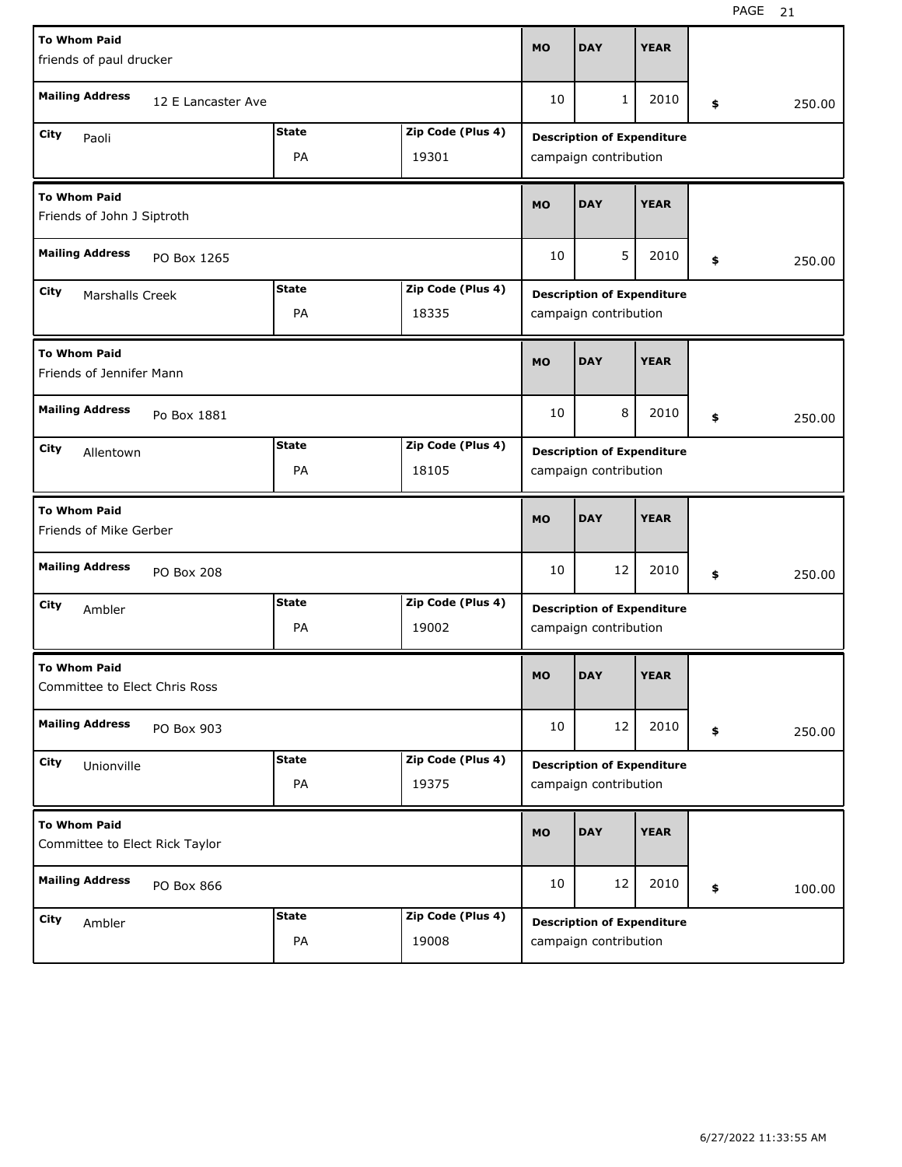| <b>To Whom Paid</b>                                          |                    |                       |                   | <b>MO</b>                         | <b>DAY</b>                        | <b>YEAR</b> |    |        |  |  |
|--------------------------------------------------------------|--------------------|-----------------------|-------------------|-----------------------------------|-----------------------------------|-------------|----|--------|--|--|
| friends of paul drucker                                      |                    |                       |                   |                                   |                                   |             |    |        |  |  |
| <b>Mailing Address</b>                                       | 12 E Lancaster Ave |                       |                   | 10                                | $\mathbf{1}$                      | 2010        | \$ | 250.00 |  |  |
| City<br>Paoli                                                |                    | <b>State</b>          | Zip Code (Plus 4) | <b>Description of Expenditure</b> |                                   |             |    |        |  |  |
|                                                              |                    | campaign contribution |                   |                                   |                                   |             |    |        |  |  |
| <b>To Whom Paid</b><br>Friends of John J Siptroth            |                    |                       |                   |                                   | <b>DAY</b>                        | <b>YEAR</b> |    |        |  |  |
| <b>Mailing Address</b>                                       | PO Box 1265        |                       |                   | 10                                | 5                                 | 2010        | \$ | 250.00 |  |  |
| <b>State</b><br>Zip Code (Plus 4)<br>City<br>Marshalls Creek |                    |                       |                   |                                   | <b>Description of Expenditure</b> |             |    |        |  |  |
|                                                              |                    | PA                    | 18335             |                                   | campaign contribution             |             |    |        |  |  |
| <b>To Whom Paid</b><br>Friends of Jennifer Mann              |                    |                       |                   |                                   | <b>DAY</b>                        | <b>YEAR</b> |    |        |  |  |
| <b>Mailing Address</b>                                       | Po Box 1881        |                       |                   | 10                                | 8                                 | 2010        | \$ | 250.00 |  |  |
| <b>State</b><br>Zip Code (Plus 4)<br>City<br>Allentown       |                    |                       |                   |                                   | <b>Description of Expenditure</b> |             |    |        |  |  |
|                                                              |                    | PA                    | 18105             | campaign contribution             |                                   |             |    |        |  |  |
| <b>To Whom Paid</b><br>Friends of Mike Gerber                |                    |                       |                   |                                   |                                   |             |    |        |  |  |
|                                                              |                    |                       |                   | <b>MO</b>                         | <b>DAY</b>                        | <b>YEAR</b> |    |        |  |  |
| <b>Mailing Address</b>                                       | PO Box 208         |                       |                   | 10                                | 12                                | 2010        | \$ | 250.00 |  |  |
| City<br>Ambler                                               |                    | <b>State</b>          | Zip Code (Plus 4) |                                   | <b>Description of Expenditure</b> |             |    |        |  |  |
|                                                              |                    | PA                    | 19002             |                                   | campaign contribution             |             |    |        |  |  |
| <b>To Whom Paid</b><br>Committee to Elect Chris Ross         |                    |                       |                   | <b>MO</b>                         | <b>DAY</b>                        | <b>YEAR</b> |    |        |  |  |
| <b>Mailing Address</b>                                       | PO Box 903         |                       |                   | 10                                | 12                                | 2010        | \$ | 250.00 |  |  |
| City                                                         |                    | <b>State</b>          | Zip Code (Plus 4) |                                   | <b>Description of Expenditure</b> |             |    |        |  |  |
| Unionville                                                   |                    | PA                    | 19375             |                                   | campaign contribution             |             |    |        |  |  |
| <b>To Whom Paid</b><br>Committee to Elect Rick Taylor        |                    |                       |                   | <b>MO</b>                         | <b>DAY</b>                        | <b>YEAR</b> |    |        |  |  |
| <b>Mailing Address</b>                                       | PO Box 866         |                       |                   | 10                                | 12                                | 2010        | \$ | 100.00 |  |  |
| <b>City</b><br>Ambler                                        |                    | <b>State</b>          | Zip Code (Plus 4) |                                   | <b>Description of Expenditure</b> |             |    |        |  |  |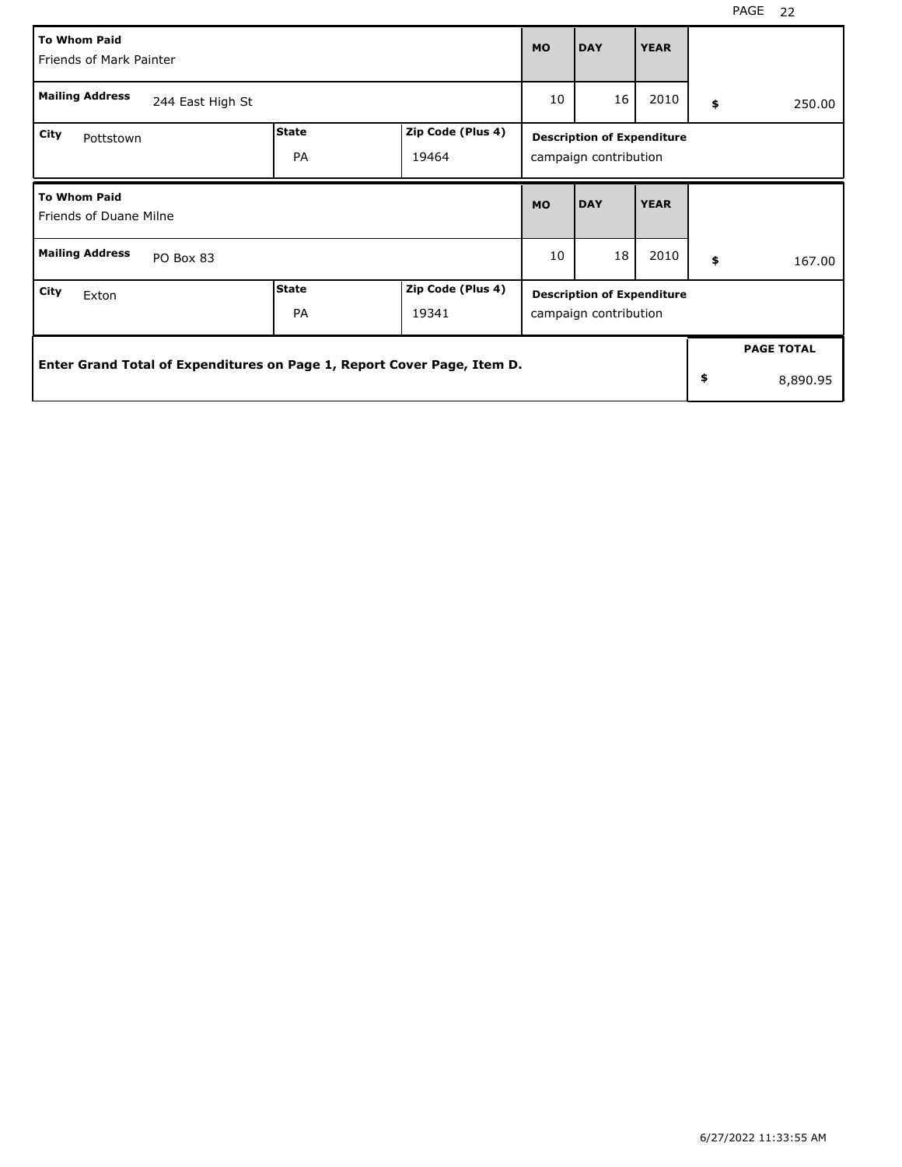| <b>To Whom Paid</b><br>Friends of Mark Painter                           |                                                                         |              |                   |              | <b>DAY</b>                                                 | <b>YEAR</b> |                   |
|--------------------------------------------------------------------------|-------------------------------------------------------------------------|--------------|-------------------|--------------|------------------------------------------------------------|-------------|-------------------|
| <b>Mailing Address</b>                                                   | 10                                                                      | 16           | 2010              | \$<br>250.00 |                                                            |             |                   |
| <b>City</b><br>Pottstown                                                 |                                                                         | <b>State</b> | Zip Code (Plus 4) |              | <b>Description of Expenditure</b>                          |             |                   |
|                                                                          |                                                                         | <b>PA</b>    | 19464             |              | campaign contribution                                      |             |                   |
| <b>To Whom Paid</b><br>Friends of Duane Milne                            |                                                                         |              |                   |              | <b>DAY</b>                                                 | <b>YEAR</b> |                   |
| <b>Mailing Address</b>                                                   | PO Box 83                                                               |              |                   | 10           | 18                                                         | 2010        | \$<br>167.00      |
| <b>State</b><br>Zip Code (Plus 4)<br>City<br>Exton<br><b>PA</b><br>19341 |                                                                         |              |                   |              | <b>Description of Expenditure</b><br>campaign contribution |             |                   |
|                                                                          |                                                                         |              |                   |              |                                                            |             | <b>PAGE TOTAL</b> |
|                                                                          | Enter Grand Total of Expenditures on Page 1, Report Cover Page, Item D. |              |                   |              |                                                            |             | \$<br>8,890.95    |